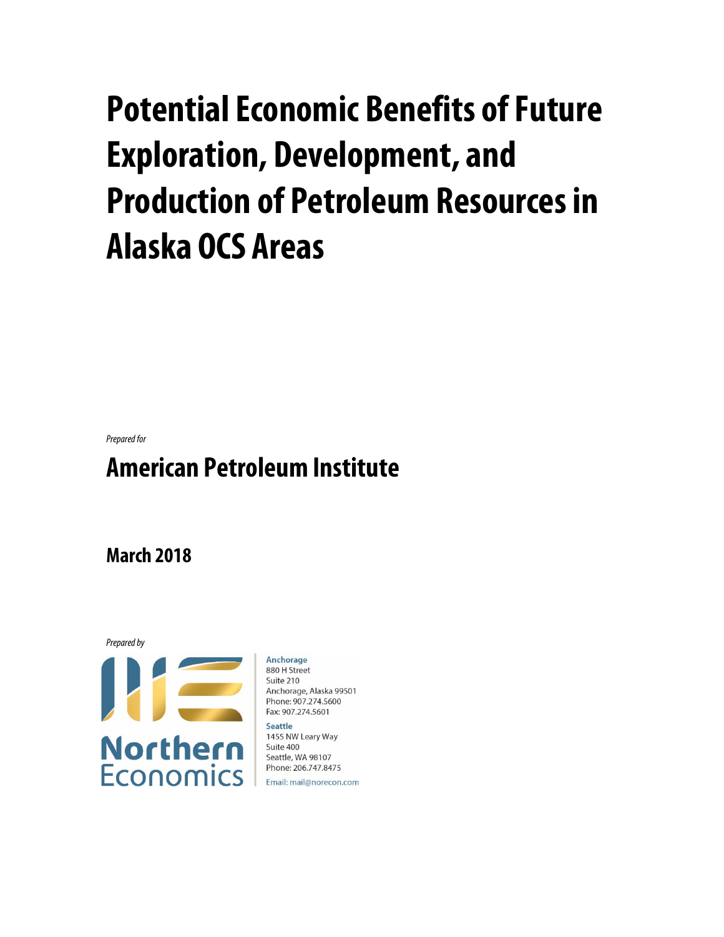# **Potential Economic Benefits of Future Exploration, Development, and Production of Petroleum Resources in Alaska OCS Areas**

*Prepared for*

## **American Petroleum Institute**

**March 2018**



Anchorage 880 H Street Suite 210 Anchorage, Alaska 99501 Phone: 907.274.5600 Fax: 907.274.5601 Seattle

1455 NW Leary Way Suite 400 Seattle, WA 98107 Phone: 206.747.8475

Email: mail@norecon.com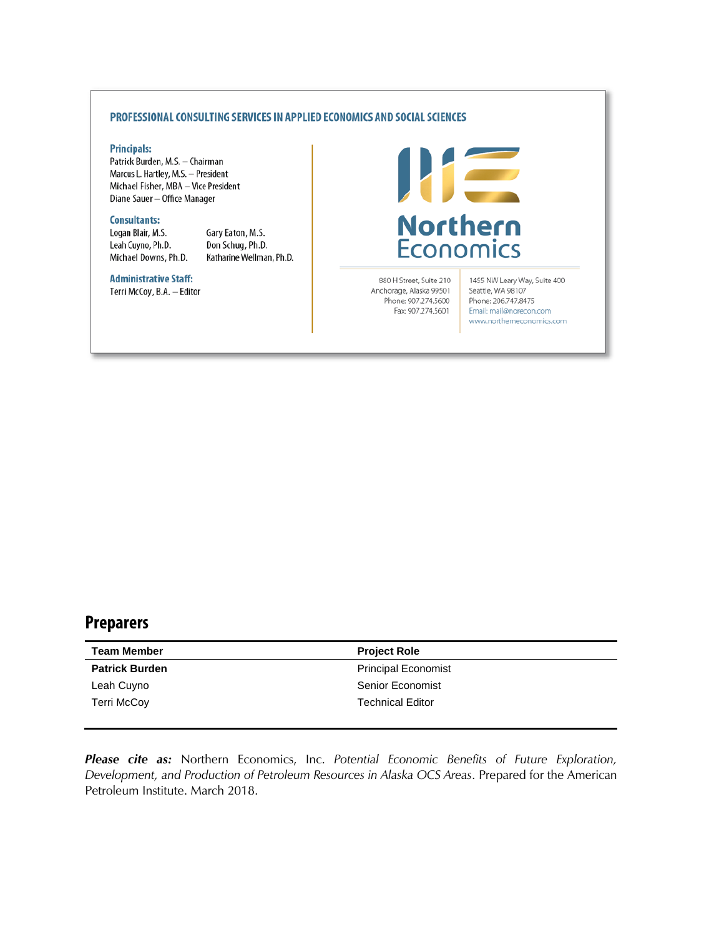#### PROFESSIONAL CONSULTING SERVICES IN APPLIED ECONOMICS AND SOCIAL SCIENCES

#### **Principals:**

Patrick Burden, M.S. - Chairman Marcus L. Hartley, M.S. - President Michael Fisher, MBA - Vice President Diane Sauer - Office Manager

#### **Consultants:**

Logan Blair, M.S. Leah Cuyno, Ph.D. Michael Downs, Ph.D. Gary Eaton, M.S. Don Schug, Ph.D. Katharine Wellman, Ph.D.

## **Administrative Staff:**

Terri McCoy, B.A. - Editor



880 H Street, Suite 210 Anchorage, Alaska 99501 Phone: 907.274.5600 Fax: 907.274.5601

1455 NW Leary Way, Suite 400 Seattle, WA 98107 Phone: 206.747.8475 Email: mail@norecon.com www.northerneconomics.com

## **Preparers**

| <b>Team Member</b>    | <b>Project Role</b>        |
|-----------------------|----------------------------|
| <b>Patrick Burden</b> | <b>Principal Economist</b> |
| Leah Cuyno            | <b>Senior Economist</b>    |
| <b>Terri McCov</b>    | <b>Technical Editor</b>    |
|                       |                            |

*Please cite as:* Northern Economics, Inc. *Potential Economic Benefits of Future Exploration, Development, and Production of Petroleum Resources in Alaska OCS Areas*. Prepared for the American Petroleum Institute. March 2018.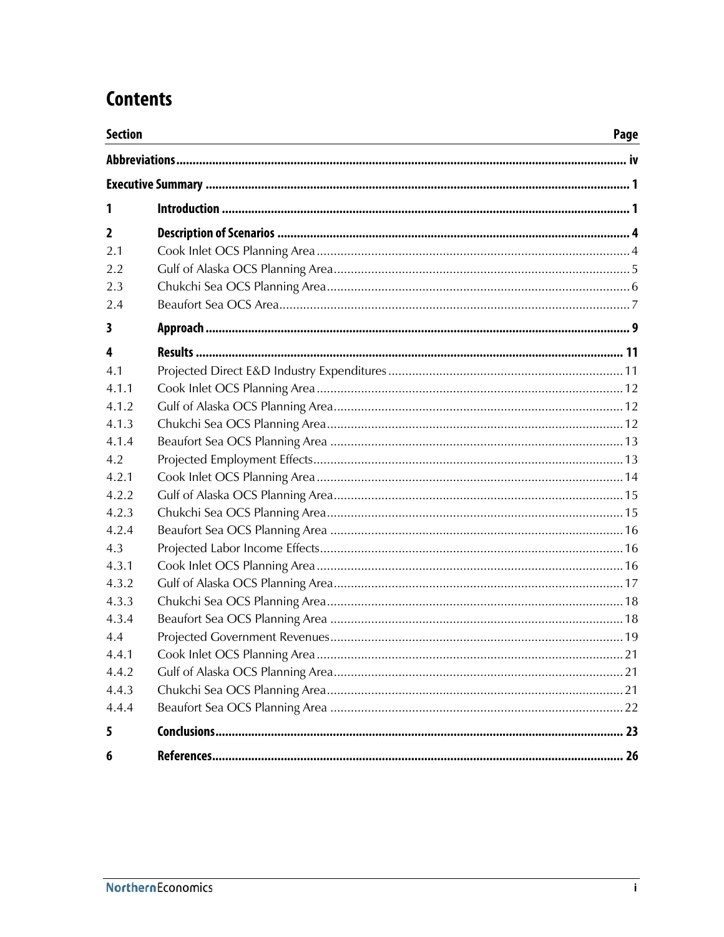## **Contents**

| <b>Section</b> | Page |
|----------------|------|
|                |      |
|                |      |
| 1              |      |
| 2              |      |
| 2.1            |      |
| 2.2            |      |
| 2.3            |      |
| 2.4            |      |
| 3              |      |
| 4              |      |
| 4.1            |      |
| 4 1 1          |      |
| 4.1.2          |      |
| 4.1.3          |      |
| 4.1.4          |      |
| 4.2            |      |
| 4.2.1          |      |
| 4.2.2          |      |
| 4.2.3          |      |
| 4.2.4          |      |
| 4.3            |      |
| 4.3.1          |      |
| 4.3.2          |      |
| 4.3.3          |      |
| 4.3.4          |      |
| 4.4            |      |
| 4.4.1          |      |
| 4.4.2          |      |
| 4.4.3          |      |
| 4.4.4          |      |
| 5              |      |
| 6              |      |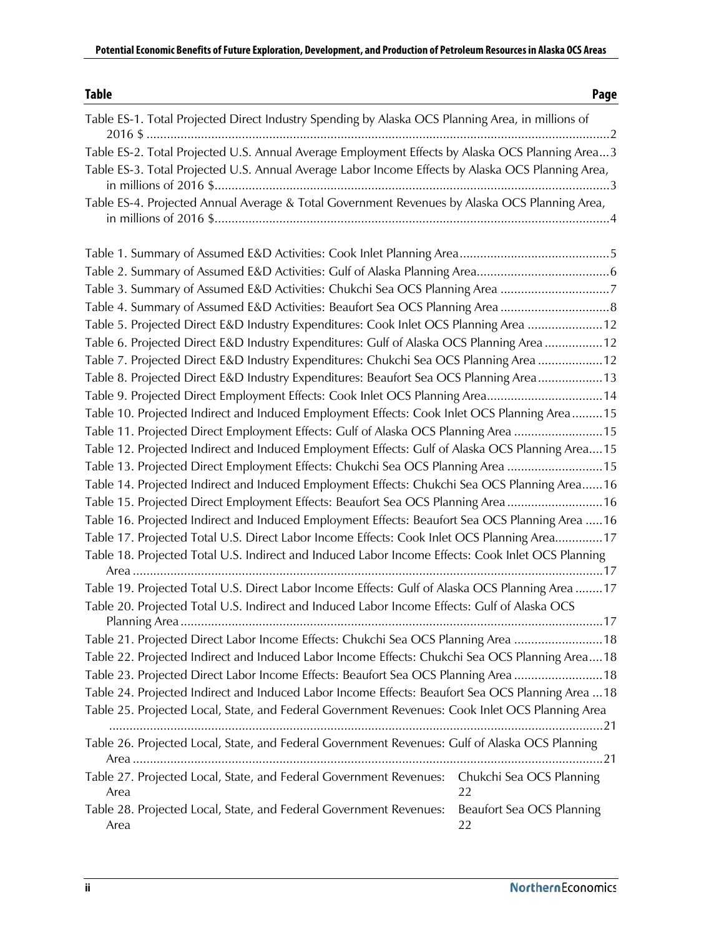| <b>Table</b>                                                                                        | Page                                   |
|-----------------------------------------------------------------------------------------------------|----------------------------------------|
| Table ES-1. Total Projected Direct Industry Spending by Alaska OCS Planning Area, in millions of    |                                        |
| Table ES-2. Total Projected U.S. Annual Average Employment Effects by Alaska OCS Planning Area3     |                                        |
| Table ES-3. Total Projected U.S. Annual Average Labor Income Effects by Alaska OCS Planning Area,   |                                        |
| Table ES-4. Projected Annual Average & Total Government Revenues by Alaska OCS Planning Area,       |                                        |
|                                                                                                     |                                        |
|                                                                                                     |                                        |
| Table 3. Summary of Assumed E&D Activities: Chukchi Sea OCS Planning Area 7                         |                                        |
| Table 4. Summary of Assumed E&D Activities: Beaufort Sea OCS Planning Area                          |                                        |
| Table 5. Projected Direct E&D Industry Expenditures: Cook Inlet OCS Planning Area 12                |                                        |
| Table 6. Projected Direct E&D Industry Expenditures: Gulf of Alaska OCS Planning Area 12            |                                        |
| Table 7. Projected Direct E&D Industry Expenditures: Chukchi Sea OCS Planning Area 12               |                                        |
| Table 8. Projected Direct E&D Industry Expenditures: Beaufort Sea OCS Planning Area 13              |                                        |
| Table 9. Projected Direct Employment Effects: Cook Inlet OCS Planning Area14                        |                                        |
| Table 10. Projected Indirect and Induced Employment Effects: Cook Inlet OCS Planning Area 15        |                                        |
| Table 11. Projected Direct Employment Effects: Gulf of Alaska OCS Planning Area 15                  |                                        |
| Table 12. Projected Indirect and Induced Employment Effects: Gulf of Alaska OCS Planning Area 15    |                                        |
| Table 13. Projected Direct Employment Effects: Chukchi Sea OCS Planning Area 15                     |                                        |
| Table 14. Projected Indirect and Induced Employment Effects: Chukchi Sea OCS Planning Area 16       |                                        |
| Table 15. Projected Direct Employment Effects: Beaufort Sea OCS Planning Area 16                    |                                        |
| Table 16. Projected Indirect and Induced Employment Effects: Beaufort Sea OCS Planning Area  16     |                                        |
| Table 17. Projected Total U.S. Direct Labor Income Effects: Cook Inlet OCS Planning Area17          |                                        |
| Table 18. Projected Total U.S. Indirect and Induced Labor Income Effects: Cook Inlet OCS Planning   |                                        |
|                                                                                                     |                                        |
| Table 19. Projected Total U.S. Direct Labor Income Effects: Gulf of Alaska OCS Planning Area  17    |                                        |
| Table 20. Projected Total U.S. Indirect and Induced Labor Income Effects: Gulf of Alaska OCS        |                                        |
| Table 21. Projected Direct Labor Income Effects: Chukchi Sea OCS Planning Area 18                   |                                        |
| Table 22. Projected Indirect and Induced Labor Income Effects: Chukchi Sea OCS Planning Area 18     |                                        |
| Table 23. Projected Direct Labor Income Effects: Beaufort Sea OCS Planning Area  18                 |                                        |
| Table 24. Projected Indirect and Induced Labor Income Effects: Beaufort Sea OCS Planning Area  18   |                                        |
| Table 25. Projected Local, State, and Federal Government Revenues: Cook Inlet OCS Planning Area     |                                        |
| Table 26. Projected Local, State, and Federal Government Revenues: Gulf of Alaska OCS Planning      |                                        |
| Table 27. Projected Local, State, and Federal Government Revenues: Chukchi Sea OCS Planning<br>Area | 22                                     |
| Table 28. Projected Local, State, and Federal Government Revenues:<br>Area                          | <b>Beaufort Sea OCS Planning</b><br>22 |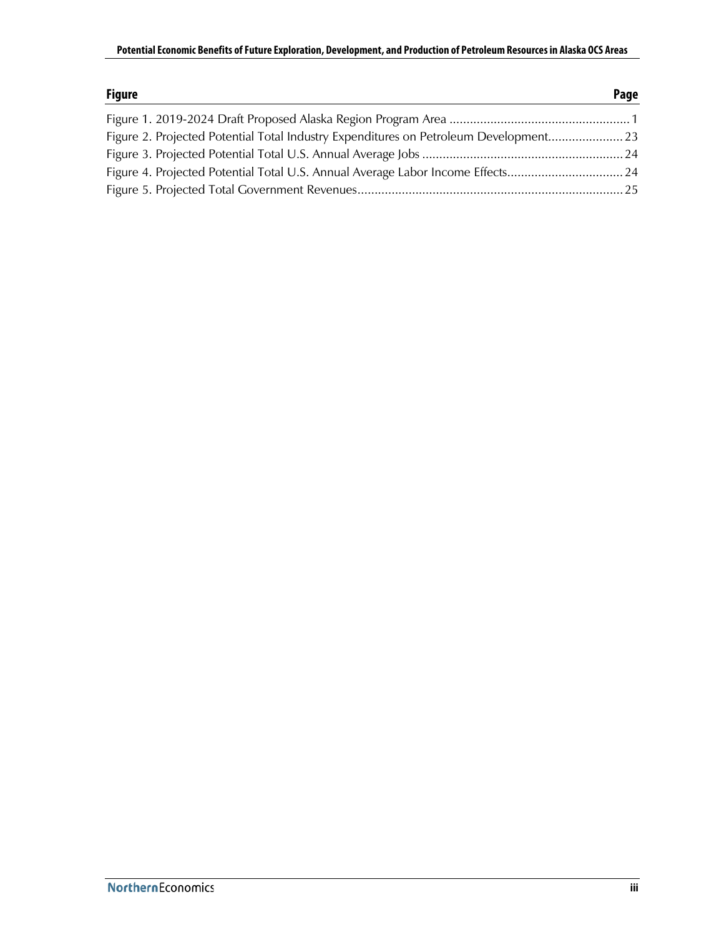| <b>Figure</b>                                                                         | Page |
|---------------------------------------------------------------------------------------|------|
|                                                                                       |      |
| Figure 2. Projected Potential Total Industry Expenditures on Petroleum Development 23 |      |
|                                                                                       |      |
| Figure 4. Projected Potential Total U.S. Annual Average Labor Income Effects 24       |      |
|                                                                                       |      |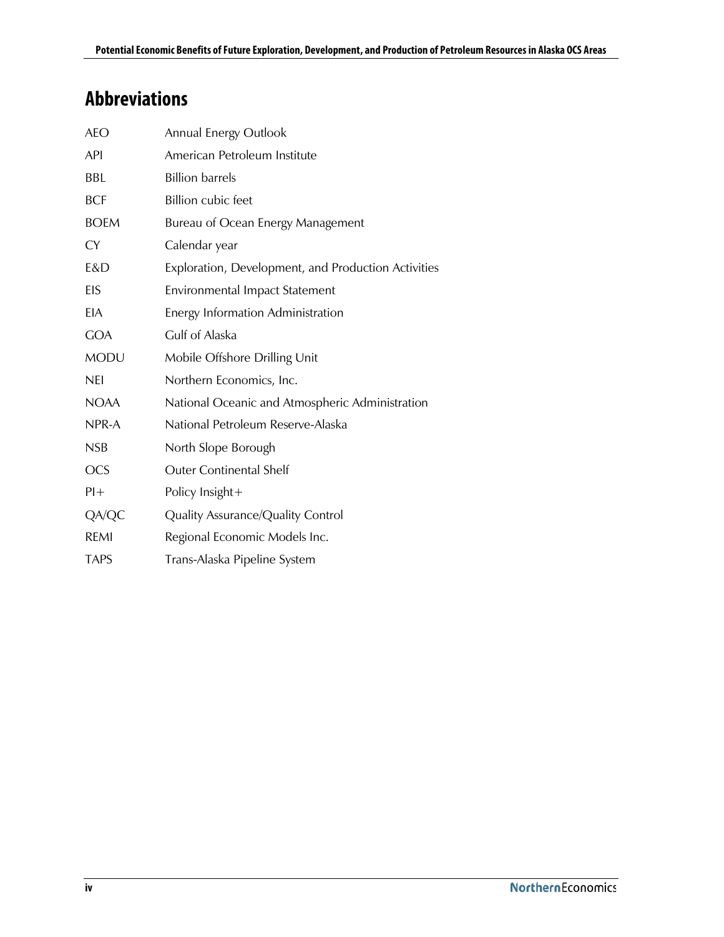## <span id="page-5-0"></span>**Abbreviations**

| <b>AEO</b>  | <b>Annual Energy Outlook</b>                        |
|-------------|-----------------------------------------------------|
| API         | American Petroleum Institute                        |
| BBL         | <b>Billion barrels</b>                              |
| <b>BCF</b>  | <b>Billion cubic feet</b>                           |
| <b>BOEM</b> | Bureau of Ocean Energy Management                   |
| <b>CY</b>   | Calendar year                                       |
| E&D         | Exploration, Development, and Production Activities |
| EIS         | Environmental Impact Statement                      |
| <b>EIA</b>  | Energy Information Administration                   |
| <b>GOA</b>  | Gulf of Alaska                                      |
| <b>MODU</b> | Mobile Offshore Drilling Unit                       |
| <b>NEI</b>  | Northern Economics, Inc.                            |
| <b>NOAA</b> | National Oceanic and Atmospheric Administration     |
| NPR-A       | National Petroleum Reserve-Alaska                   |
| <b>NSB</b>  | North Slope Borough                                 |
| <b>OCS</b>  | <b>Outer Continental Shelf</b>                      |
| $Pl +$      | Policy Insight+                                     |
| QA/QC       | Quality Assurance/Quality Control                   |
| <b>REMI</b> | Regional Economic Models Inc.                       |
| <b>TAPS</b> | Trans-Alaska Pipeline System                        |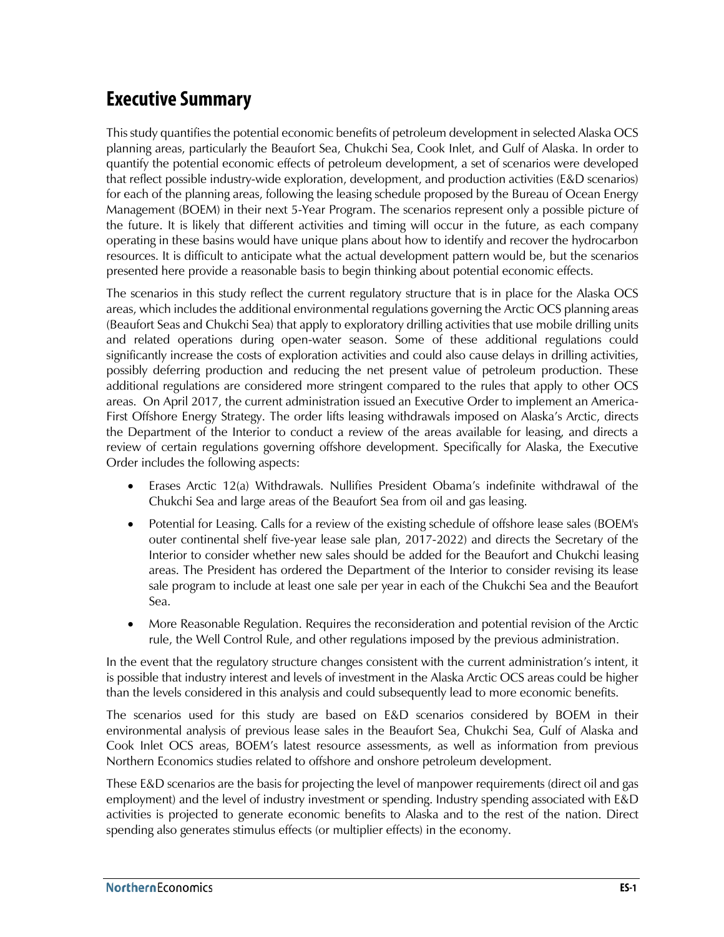## <span id="page-6-0"></span>**Executive Summary**

This study quantifies the potential economic benefits of petroleum development in selected Alaska OCS planning areas, particularly the Beaufort Sea, Chukchi Sea, Cook Inlet, and Gulf of Alaska. In order to quantify the potential economic effects of petroleum development, a set of scenarios were developed that reflect possible industry-wide exploration, development, and production activities (E&D scenarios) for each of the planning areas, following the leasing schedule proposed by the Bureau of Ocean Energy Management (BOEM) in their next 5-Year Program. The scenarios represent only a possible picture of the future. It is likely that different activities and timing will occur in the future, as each company operating in these basins would have unique plans about how to identify and recover the hydrocarbon resources. It is difficult to anticipate what the actual development pattern would be, but the scenarios presented here provide a reasonable basis to begin thinking about potential economic effects.

The scenarios in this study reflect the current regulatory structure that is in place for the Alaska OCS areas, which includes the additional environmental regulations governing the Arctic OCS planning areas (Beaufort Seas and Chukchi Sea) that apply to exploratory drilling activities that use mobile drilling units and related operations during open-water season. Some of these additional regulations could significantly increase the costs of exploration activities and could also cause delays in drilling activities, possibly deferring production and reducing the net present value of petroleum production. These additional regulations are considered more stringent compared to the rules that apply to other OCS areas. On April 2017, the current administration issued an Executive Order to implement an America-First Offshore Energy Strategy. The order lifts leasing withdrawals imposed on Alaska's Arctic, directs the Department of the Interior to conduct a review of the areas available for leasing, and directs a review of certain regulations governing offshore development. Specifically for Alaska, the Executive Order includes the following aspects:

- Erases Arctic 12(a) Withdrawals. Nullifies President Obama's indefinite withdrawal of the Chukchi Sea and large areas of the Beaufort Sea from oil and gas leasing.
- Potential for Leasing. Calls for a review of the existing schedule of offshore lease sales (BOEM's outer continental shelf five-year lease sale plan, 2017-2022) and directs the Secretary of the Interior to consider whether new sales should be added for the Beaufort and Chukchi leasing areas. The President has ordered the Department of the Interior to consider revising its lease sale program to include at least one sale per year in each of the Chukchi Sea and the Beaufort Sea.
- More Reasonable Regulation. Requires the reconsideration and potential revision of the Arctic rule, the Well Control Rule, and other regulations imposed by the previous administration.

In the event that the regulatory structure changes consistent with the current administration's intent, it is possible that industry interest and levels of investment in the Alaska Arctic OCS areas could be higher than the levels considered in this analysis and could subsequently lead to more economic benefits.

The scenarios used for this study are based on E&D scenarios considered by BOEM in their environmental analysis of previous lease sales in the Beaufort Sea, Chukchi Sea, Gulf of Alaska and Cook Inlet OCS areas, BOEM's latest resource assessments, as well as information from previous Northern Economics studies related to offshore and onshore petroleum development.

These E&D scenarios are the basis for projecting the level of manpower requirements (direct oil and gas employment) and the level of industry investment or spending. Industry spending associated with E&D activities is projected to generate economic benefits to Alaska and to the rest of the nation. Direct spending also generates stimulus effects (or multiplier effects) in the economy.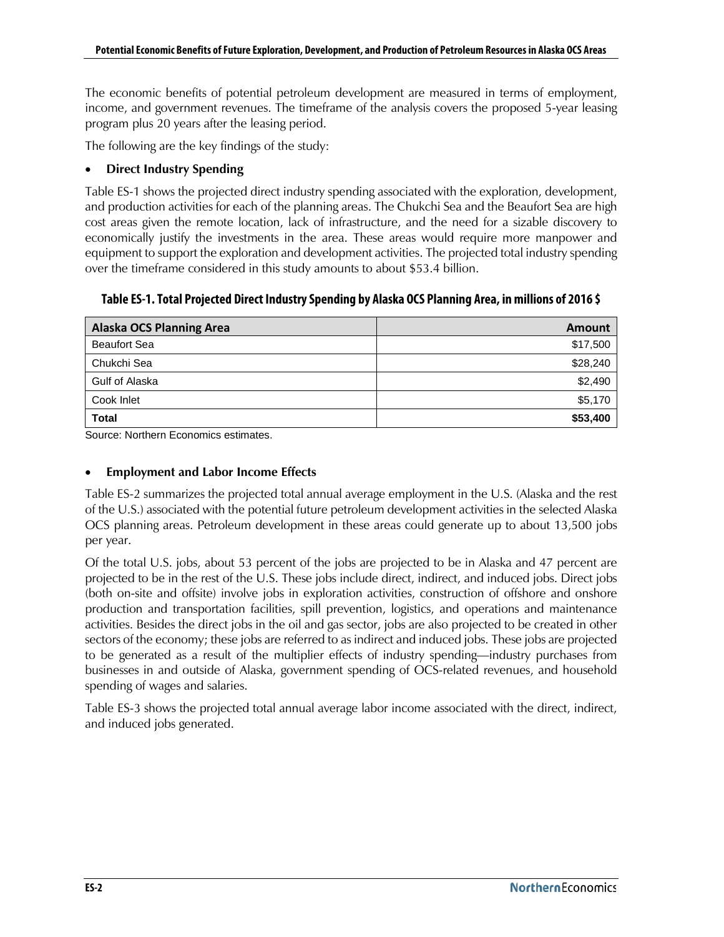The economic benefits of potential petroleum development are measured in terms of employment, income, and government revenues. The timeframe of the analysis covers the proposed 5-year leasing program plus 20 years after the leasing period.

The following are the key findings of the study:

#### • **Direct Industry Spending**

Table ES-1 shows the projected direct industry spending associated with the exploration, development, and production activities for each of the planning areas. The Chukchi Sea and the Beaufort Sea are high cost areas given the remote location, lack of infrastructure, and the need for a sizable discovery to economically justify the investments in the area. These areas would require more manpower and equipment to support the exploration and development activities. The projected total industry spending over the timeframe considered in this study amounts to about \$53.4 billion.

<span id="page-7-0"></span>**Table ES-1. Total Projected Direct Industry Spending by Alaska OCS Planning Area, in millions of 2016 \$**

| Alaska OCS Planning Area | Amount   |
|--------------------------|----------|
| <b>Beaufort Sea</b>      | \$17,500 |
| Chukchi Sea              | \$28,240 |
| Gulf of Alaska           | \$2,490  |
| Cook Inlet               | \$5,170  |
| <b>Total</b>             | \$53,400 |

Source: Northern Economics estimates.

### • **Employment and Labor Income Effects**

Table ES-2 summarizes the projected total annual average employment in the U.S. (Alaska and the rest of the U.S.) associated with the potential future petroleum development activities in the selected Alaska OCS planning areas. Petroleum development in these areas could generate up to about 13,500 jobs per year.

Of the total U.S. jobs, about 53 percent of the jobs are projected to be in Alaska and 47 percent are projected to be in the rest of the U.S. These jobs include direct, indirect, and induced jobs. Direct jobs (both on-site and offsite) involve jobs in exploration activities, construction of offshore and onshore production and transportation facilities, spill prevention, logistics, and operations and maintenance activities. Besides the direct jobs in the oil and gas sector, jobs are also projected to be created in other sectors of the economy; these jobs are referred to as indirect and induced jobs. These jobs are projected to be generated as a result of the multiplier effects of industry spending—industry purchases from businesses in and outside of Alaska, government spending of OCS-related revenues, and household spending of wages and salaries.

Table ES-3 shows the projected total annual average labor income associated with the direct, indirect, and induced jobs generated.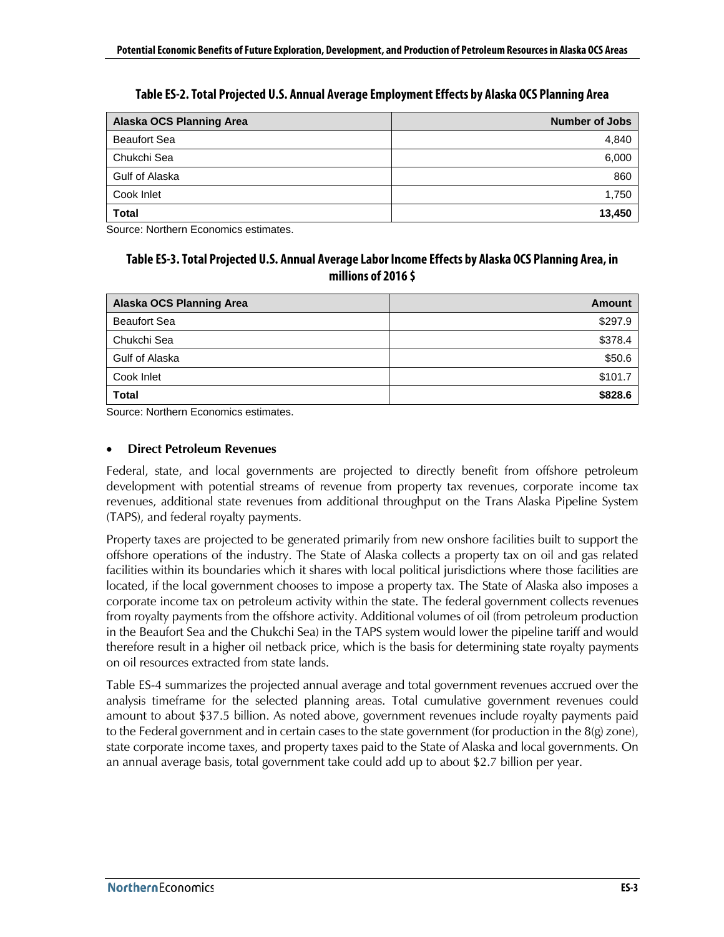<span id="page-8-0"></span>

| Alaska OCS Planning Area | Number of Jobs |
|--------------------------|----------------|
| <b>Beaufort Sea</b>      | 4,840          |
| Chukchi Sea              | 6,000          |
| Gulf of Alaska           | 860            |
| Cook Inlet               | 1,750          |
| <b>Total</b>             | 13,450         |

**Table ES-2. Total Projected U.S. Annual Average Employment Effects by Alaska OCS Planning Area**

<span id="page-8-1"></span>Source: Northern Economics estimates.

### **Table ES-3. Total Projected U.S. Annual Average Labor Income Effects by Alaska OCS Planning Area, in millions of 2016 \$**

| Alaska OCS Planning Area | Amount  |
|--------------------------|---------|
| <b>Beaufort Sea</b>      | \$297.9 |
| Chukchi Sea              | \$378.4 |
| Gulf of Alaska           | \$50.6  |
| Cook Inlet               | \$101.7 |
| <b>Total</b>             | \$828.6 |

Source: Northern Economics estimates.

#### • **Direct Petroleum Revenues**

Federal, state, and local governments are projected to directly benefit from offshore petroleum development with potential streams of revenue from property tax revenues, corporate income tax revenues, additional state revenues from additional throughput on the Trans Alaska Pipeline System (TAPS), and federal royalty payments.

Property taxes are projected to be generated primarily from new onshore facilities built to support the offshore operations of the industry. The State of Alaska collects a property tax on oil and gas related facilities within its boundaries which it shares with local political jurisdictions where those facilities are located, if the local government chooses to impose a property tax. The State of Alaska also imposes a corporate income tax on petroleum activity within the state. The federal government collects revenues from royalty payments from the offshore activity. Additional volumes of oil (from petroleum production in the Beaufort Sea and the Chukchi Sea) in the TAPS system would lower the pipeline tariff and would therefore result in a higher oil netback price, which is the basis for determining state royalty payments on oil resources extracted from state lands.

Table ES-4 summarizes the projected annual average and total government revenues accrued over the analysis timeframe for the selected planning areas. Total cumulative government revenues could amount to about \$37.5 billion. As noted above, government revenues include royalty payments paid to the Federal government and in certain cases to the state government (for production in the 8(g) zone), state corporate income taxes, and property taxes paid to the State of Alaska and local governments. On an annual average basis, total government take could add up to about \$2.7 billion per year.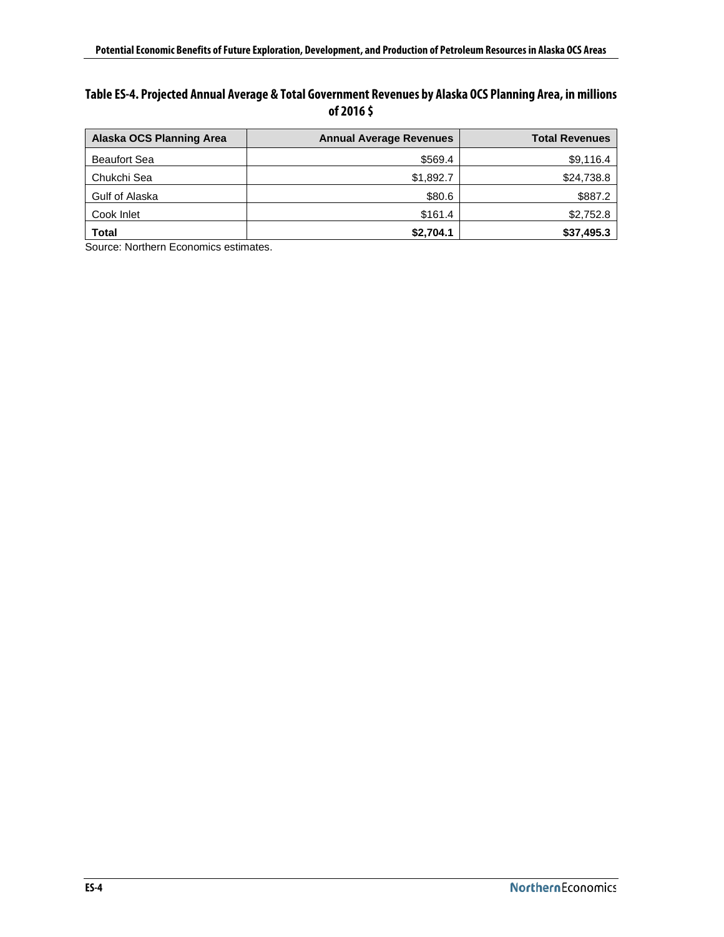### <span id="page-9-0"></span>**Table ES-4. Projected Annual Average & Total Government Revenues by Alaska OCS Planning Area, in millions of 2016 \$**

| Alaska OCS Planning Area | <b>Annual Average Revenues</b> | <b>Total Revenues</b> |
|--------------------------|--------------------------------|-----------------------|
| <b>Beaufort Sea</b>      | \$569.4                        | \$9,116.4             |
| Chukchi Sea              | \$1,892.7                      | \$24,738.8            |
| Gulf of Alaska           | \$80.6                         | \$887.2               |
| Cook Inlet               | \$161.4                        | \$2,752.8             |
| <b>Total</b>             | \$2,704.1                      | \$37,495.3            |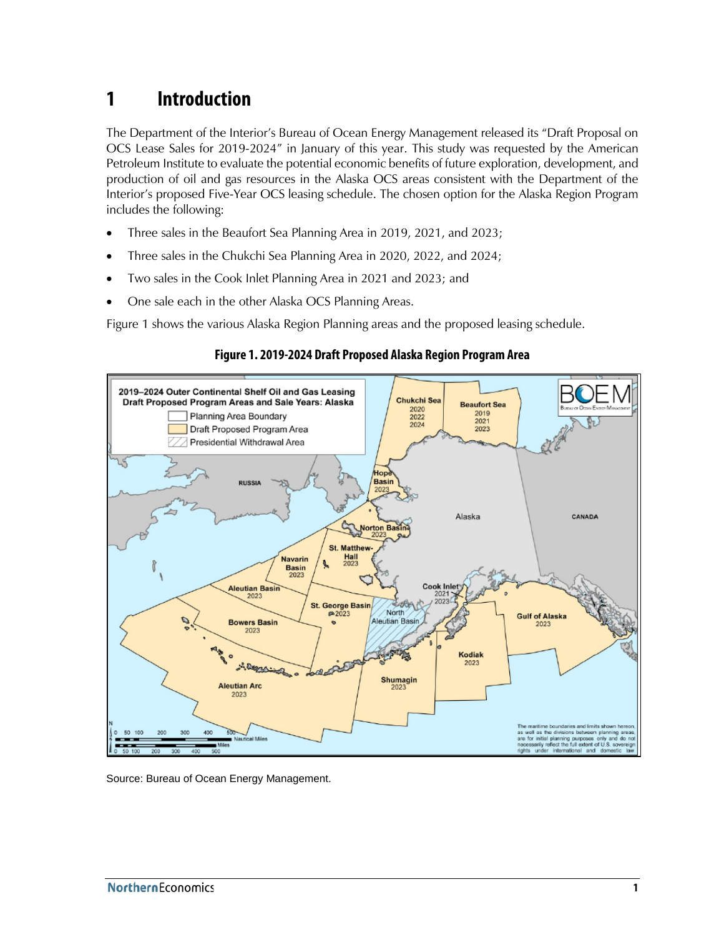## <span id="page-10-0"></span>**1 Introduction**

The Department of the Interior's Bureau of Ocean Energy Management released its "Draft Proposal on OCS Lease Sales for 2019-2024" in January of this year. This study was requested by the American Petroleum Institute to evaluate the potential economic benefits of future exploration, development, and production of oil and gas resources in the Alaska OCS areas consistent with the Department of the Interior's proposed Five-Year OCS leasing schedule. The chosen option for the Alaska Region Program includes the following:

- Three sales in the Beaufort Sea Planning Area in 2019, 2021, and 2023;
- Three sales in the Chukchi Sea Planning Area in 2020, 2022, and 2024;
- Two sales in the Cook Inlet Planning Area in 2021 and 2023; and
- One sale each in the other Alaska OCS Planning Areas.

<span id="page-10-1"></span>[Figure 1](#page-10-1) shows the various Alaska Region Planning areas and the proposed leasing schedule.



### **Figure 1. 2019-2024 Draft Proposed Alaska Region Program Area**

Source: Bureau of Ocean Energy Management.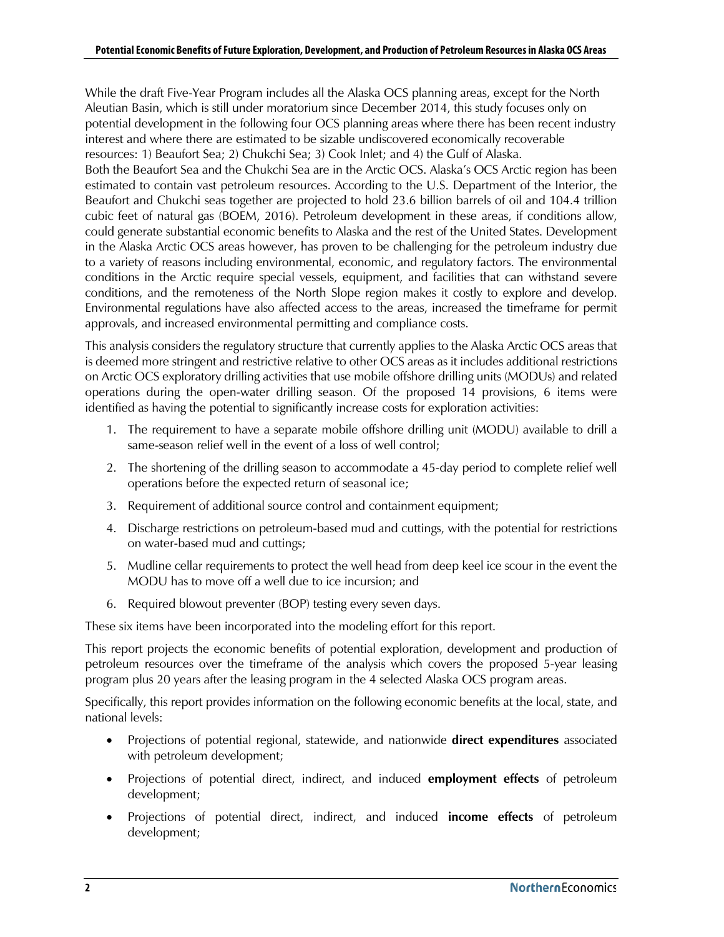While the draft Five-Year Program includes all the Alaska OCS planning areas, except for the North Aleutian Basin, which is still under moratorium since December 2014, this study focuses only on potential development in the following four OCS planning areas where there has been recent industry interest and where there are estimated to be sizable undiscovered economically recoverable resources: 1) Beaufort Sea; 2) Chukchi Sea; 3) Cook Inlet; and 4) the Gulf of Alaska.

Both the Beaufort Sea and the Chukchi Sea are in the Arctic OCS. Alaska's OCS Arctic region has been estimated to contain vast petroleum resources. According to the U.S. Department of the Interior, the Beaufort and Chukchi seas together are projected to hold 23.6 billion barrels of oil and 104.4 trillion cubic feet of natural gas (BOEM, 2016). Petroleum development in these areas, if conditions allow, could generate substantial economic benefits to Alaska and the rest of the United States. Development in the Alaska Arctic OCS areas however, has proven to be challenging for the petroleum industry due to a variety of reasons including environmental, economic, and regulatory factors. The environmental conditions in the Arctic require special vessels, equipment, and facilities that can withstand severe conditions, and the remoteness of the North Slope region makes it costly to explore and develop. Environmental regulations have also affected access to the areas, increased the timeframe for permit approvals, and increased environmental permitting and compliance costs.

This analysis considers the regulatory structure that currently applies to the Alaska Arctic OCS areas that is deemed more stringent and restrictive relative to other OCS areas as it includes additional restrictions on Arctic OCS exploratory drilling activities that use mobile offshore drilling units (MODUs) and related operations during the open-water drilling season. Of the proposed 14 provisions, 6 items were identified as having the potential to significantly increase costs for exploration activities:

- 1. The requirement to have a separate mobile offshore drilling unit (MODU) available to drill a same-season relief well in the event of a loss of well control;
- 2. The shortening of the drilling season to accommodate a 45-day period to complete relief well operations before the expected return of seasonal ice;
- 3. Requirement of additional source control and containment equipment;
- 4. Discharge restrictions on petroleum-based mud and cuttings, with the potential for restrictions on water-based mud and cuttings;
- 5. Mudline cellar requirements to protect the well head from deep keel ice scour in the event the MODU has to move off a well due to ice incursion; and
- 6. Required blowout preventer (BOP) testing every seven days.

These six items have been incorporated into the modeling effort for this report.

This report projects the economic benefits of potential exploration, development and production of petroleum resources over the timeframe of the analysis which covers the proposed 5-year leasing program plus 20 years after the leasing program in the 4 selected Alaska OCS program areas.

Specifically, this report provides information on the following economic benefits at the local, state, and national levels:

- Projections of potential regional, statewide, and nationwide **direct expenditures** associated with petroleum development;
- Projections of potential direct, indirect, and induced **employment effects** of petroleum development;
- Projections of potential direct, indirect, and induced **income effects** of petroleum development;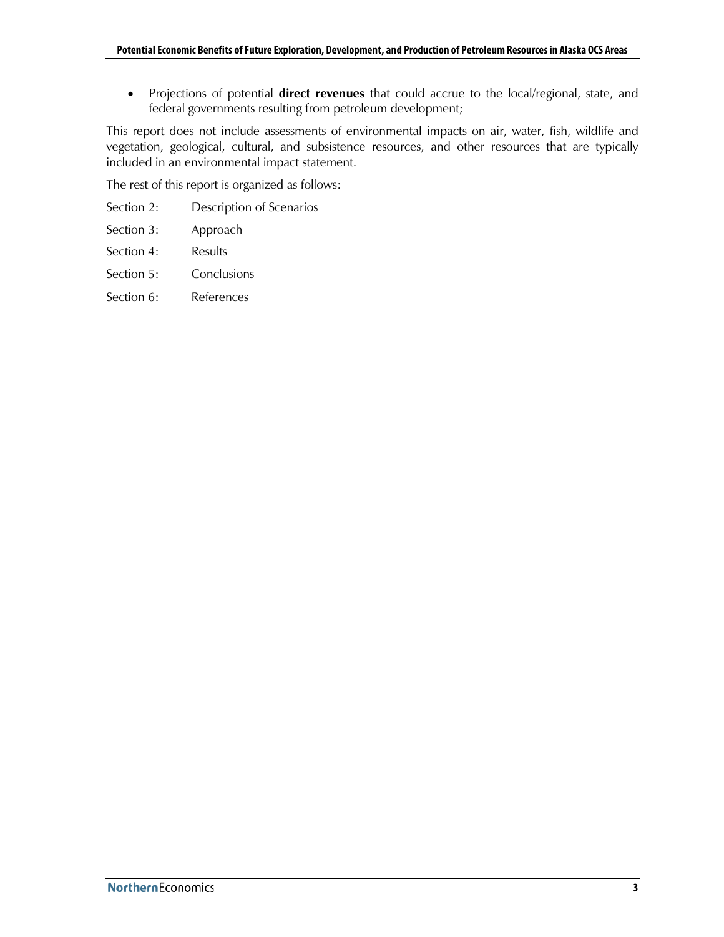• Projections of potential **direct revenues** that could accrue to the local/regional, state, and federal governments resulting from petroleum development;

This report does not include assessments of environmental impacts on air, water, fish, wildlife and vegetation, geological, cultural, and subsistence resources, and other resources that are typically included in an environmental impact statement.

The rest of this report is organized as follows:

- Section 2: Description of Scenarios
- Section 3: Approach
- Section 4: Results
- Section 5: Conclusions
- Section 6: References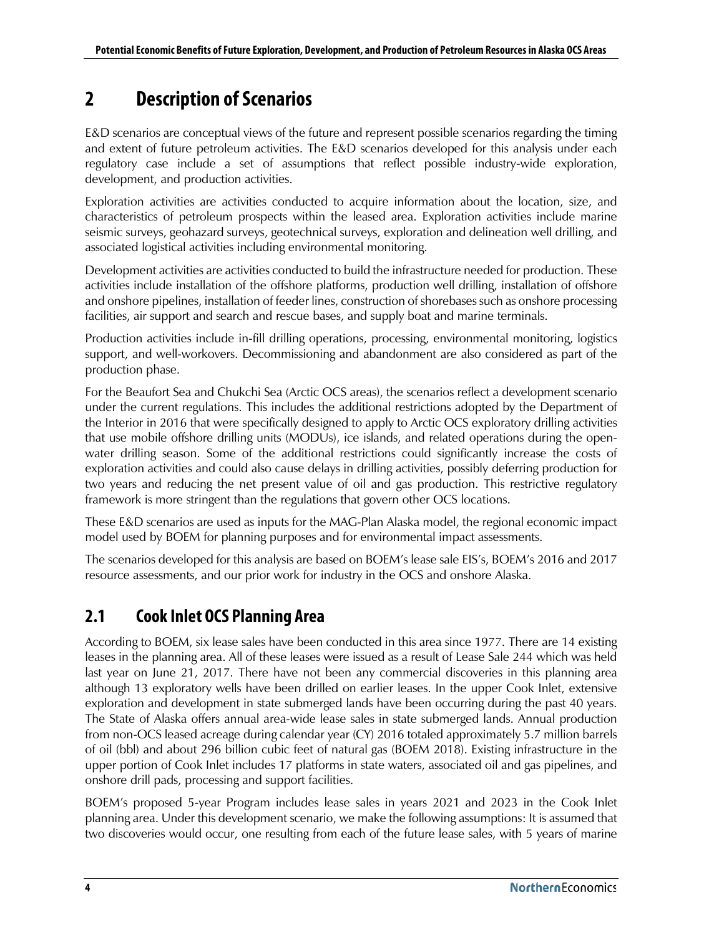## <span id="page-13-0"></span>**2 Description of Scenarios**

E&D scenarios are conceptual views of the future and represent possible scenarios regarding the timing and extent of future petroleum activities. The E&D scenarios developed for this analysis under each regulatory case include a set of assumptions that reflect possible industry-wide exploration, development, and production activities.

Exploration activities are activities conducted to acquire information about the location, size, and characteristics of petroleum prospects within the leased area. Exploration activities include marine seismic surveys, geohazard surveys, geotechnical surveys, exploration and delineation well drilling, and associated logistical activities including environmental monitoring.

Development activities are activities conducted to build the infrastructure needed for production. These activities include installation of the offshore platforms, production well drilling, installation of offshore and onshore pipelines, installation of feeder lines, construction of shorebases such as onshore processing facilities, air support and search and rescue bases, and supply boat and marine terminals.

Production activities include in-fill drilling operations, processing, environmental monitoring, logistics support, and well-workovers. Decommissioning and abandonment are also considered as part of the production phase.

For the Beaufort Sea and Chukchi Sea (Arctic OCS areas), the scenarios reflect a development scenario under the current regulations. This includes the additional restrictions adopted by the Department of the Interior in 2016 that were specifically designed to apply to Arctic OCS exploratory drilling activities that use mobile offshore drilling units (MODUs), ice islands, and related operations during the openwater drilling season. Some of the additional restrictions could significantly increase the costs of exploration activities and could also cause delays in drilling activities, possibly deferring production for two years and reducing the net present value of oil and gas production. This restrictive regulatory framework is more stringent than the regulations that govern other OCS locations.

These E&D scenarios are used as inputs for the MAG-Plan Alaska model, the regional economic impact model used by BOEM for planning purposes and for environmental impact assessments.

The scenarios developed for this analysis are based on BOEM's lease sale EIS's, BOEM's 2016 and 2017 resource assessments, and our prior work for industry in the OCS and onshore Alaska.

## <span id="page-13-1"></span>**2.1 Cook Inlet OCS Planning Area**

According to BOEM, six lease sales have been conducted in this area since 1977. There are 14 existing leases in the planning area. All of these leases were issued as a result of Lease Sale 244 which was held last year on June 21, 2017. There have not been any commercial discoveries in this planning area although 13 exploratory wells have been drilled on earlier leases. In the upper Cook Inlet, extensive exploration and development in state submerged lands have been occurring during the past 40 years. The State of Alaska offers annual area-wide lease sales in state submerged lands. Annual production from non-OCS leased acreage during calendar year (CY) 2016 totaled approximately 5.7 million barrels of oil (bbl) and about 296 billion cubic feet of natural gas (BOEM 2018). Existing infrastructure in the upper portion of Cook Inlet includes 17 platforms in state waters, associated oil and gas pipelines, and onshore drill pads, processing and support facilities.

BOEM's proposed 5-year Program includes lease sales in years 2021 and 2023 in the Cook Inlet planning area. Under this development scenario, we make the following assumptions: It is assumed that two discoveries would occur, one resulting from each of the future lease sales, with 5 years of marine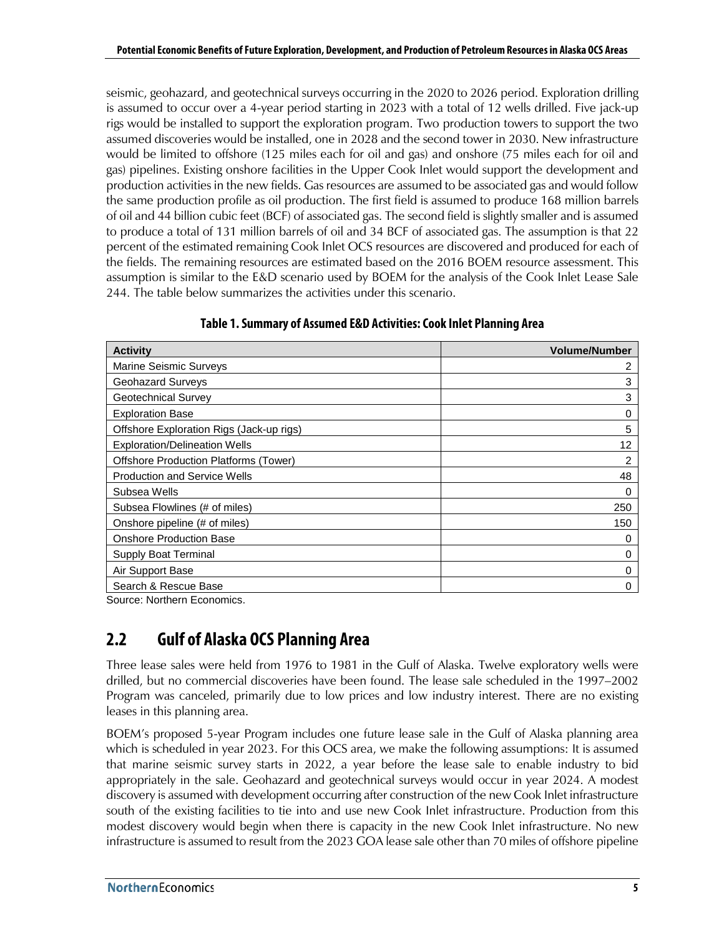seismic, geohazard, and geotechnical surveys occurring in the 2020 to 2026 period. Exploration drilling is assumed to occur over a 4-year period starting in 2023 with a total of 12 wells drilled. Five jack-up rigs would be installed to support the exploration program. Two production towers to support the two assumed discoveries would be installed, one in 2028 and the second tower in 2030. New infrastructure would be limited to offshore (125 miles each for oil and gas) and onshore (75 miles each for oil and gas) pipelines. Existing onshore facilities in the Upper Cook Inlet would support the development and production activities in the new fields. Gas resources are assumed to be associated gas and would follow the same production profile as oil production. The first field is assumed to produce 168 million barrels of oil and 44 billion cubic feet (BCF) of associated gas. The second field is slightly smaller and is assumed to produce a total of 131 million barrels of oil and 34 BCF of associated gas. The assumption is that 22 percent of the estimated remaining Cook Inlet OCS resources are discovered and produced for each of the fields. The remaining resources are estimated based on the 2016 BOEM resource assessment. This assumption is similar to the E&D scenario used by BOEM for the analysis of the Cook Inlet Lease Sale 244. The table below summarizes the activities under this scenario.

<span id="page-14-1"></span>

| <b>Activity</b>                              | <b>Volume/Number</b> |
|----------------------------------------------|----------------------|
| <b>Marine Seismic Surveys</b>                | 2                    |
| Geohazard Surveys                            | 3                    |
| Geotechnical Survey                          | 3                    |
| <b>Exploration Base</b>                      | 0                    |
| Offshore Exploration Rigs (Jack-up rigs)     | 5                    |
| <b>Exploration/Delineation Wells</b>         | 12                   |
| <b>Offshore Production Platforms (Tower)</b> | 2                    |
| <b>Production and Service Wells</b>          | 48                   |
| Subsea Wells                                 | 0                    |
| Subsea Flowlines (# of miles)                | 250                  |
| Onshore pipeline (# of miles)                | 150                  |
| <b>Onshore Production Base</b>               | 0                    |
| Supply Boat Terminal                         | 0                    |
| Air Support Base                             | 0                    |
| Search & Rescue Base                         | 0                    |

#### **Table 1.Summary of Assumed E&D Activities:Cook Inlet Planning Area**

<span id="page-14-0"></span>Source: Northern Economics.

## **2.2 Gulf of Alaska OCS Planning Area**

Three lease sales were held from 1976 to 1981 in the Gulf of Alaska. Twelve exploratory wells were drilled, but no commercial discoveries have been found. The lease sale scheduled in the 1997–2002 Program was canceled, primarily due to low prices and low industry interest. There are no existing leases in this planning area.

BOEM's proposed 5-year Program includes one future lease sale in the Gulf of Alaska planning area which is scheduled in year 2023. For this OCS area, we make the following assumptions: It is assumed that marine seismic survey starts in 2022, a year before the lease sale to enable industry to bid appropriately in the sale. Geohazard and geotechnical surveys would occur in year 2024. A modest discovery is assumed with development occurring after construction of the new Cook Inlet infrastructure south of the existing facilities to tie into and use new Cook Inlet infrastructure. Production from this modest discovery would begin when there is capacity in the new Cook Inlet infrastructure. No new infrastructure is assumed to result from the 2023 GOA lease sale other than 70 miles of offshore pipeline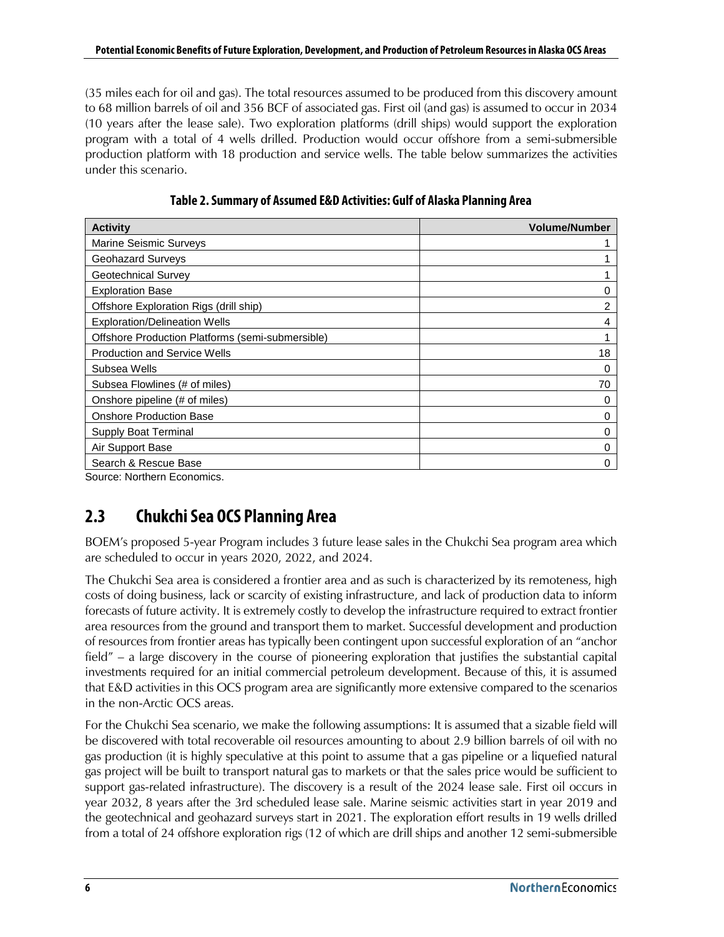(35 miles each for oil and gas). The total resources assumed to be produced from this discovery amount to 68 million barrels of oil and 356 BCF of associated gas. First oil (and gas) is assumed to occur in 2034 (10 years after the lease sale). Two exploration platforms (drill ships) would support the exploration program with a total of 4 wells drilled. Production would occur offshore from a semi-submersible production platform with 18 production and service wells. The table below summarizes the activities under this scenario.

<span id="page-15-1"></span>

| <b>Activity</b>                                  | <b>Volume/Number</b> |
|--------------------------------------------------|----------------------|
| Marine Seismic Surveys                           |                      |
| Geohazard Surveys                                |                      |
| Geotechnical Survey                              |                      |
| <b>Exploration Base</b>                          | 0                    |
| Offshore Exploration Rigs (drill ship)           | 2                    |
| <b>Exploration/Delineation Wells</b>             | 4                    |
| Offshore Production Platforms (semi-submersible) |                      |
| <b>Production and Service Wells</b>              | 18                   |
| Subsea Wells                                     | 0                    |
| Subsea Flowlines (# of miles)                    | 70                   |
| Onshore pipeline (# of miles)                    | 0                    |
| <b>Onshore Production Base</b>                   | 0                    |
| Supply Boat Terminal                             | 0                    |
| Air Support Base                                 | 0                    |
| Search & Rescue Base                             | 0                    |

**Table 2.Summary of Assumed E&D Activities: Gulf of Alaska Planning Area**

<span id="page-15-0"></span>Source: Northern Economics.

## **2.3 Chukchi Sea OCS Planning Area**

BOEM's proposed 5-year Program includes 3 future lease sales in the Chukchi Sea program area which are scheduled to occur in years 2020, 2022, and 2024.

The Chukchi Sea area is considered a frontier area and as such is characterized by its remoteness, high costs of doing business, lack or scarcity of existing infrastructure, and lack of production data to inform forecasts of future activity. It is extremely costly to develop the infrastructure required to extract frontier area resources from the ground and transport them to market. Successful development and production of resources from frontier areas has typically been contingent upon successful exploration of an "anchor field" – a large discovery in the course of pioneering exploration that justifies the substantial capital investments required for an initial commercial petroleum development. Because of this, it is assumed that E&D activities in this OCS program area are significantly more extensive compared to the scenarios in the non-Arctic OCS areas.

For the Chukchi Sea scenario, we make the following assumptions: It is assumed that a sizable field will be discovered with total recoverable oil resources amounting to about 2.9 billion barrels of oil with no gas production (it is highly speculative at this point to assume that a gas pipeline or a liquefied natural gas project will be built to transport natural gas to markets or that the sales price would be sufficient to support gas-related infrastructure). The discovery is a result of the 2024 lease sale. First oil occurs in year 2032, 8 years after the 3rd scheduled lease sale. Marine seismic activities start in year 2019 and the geotechnical and geohazard surveys start in 2021. The exploration effort results in 19 wells drilled from a total of 24 offshore exploration rigs (12 of which are drill ships and another 12 semi-submersible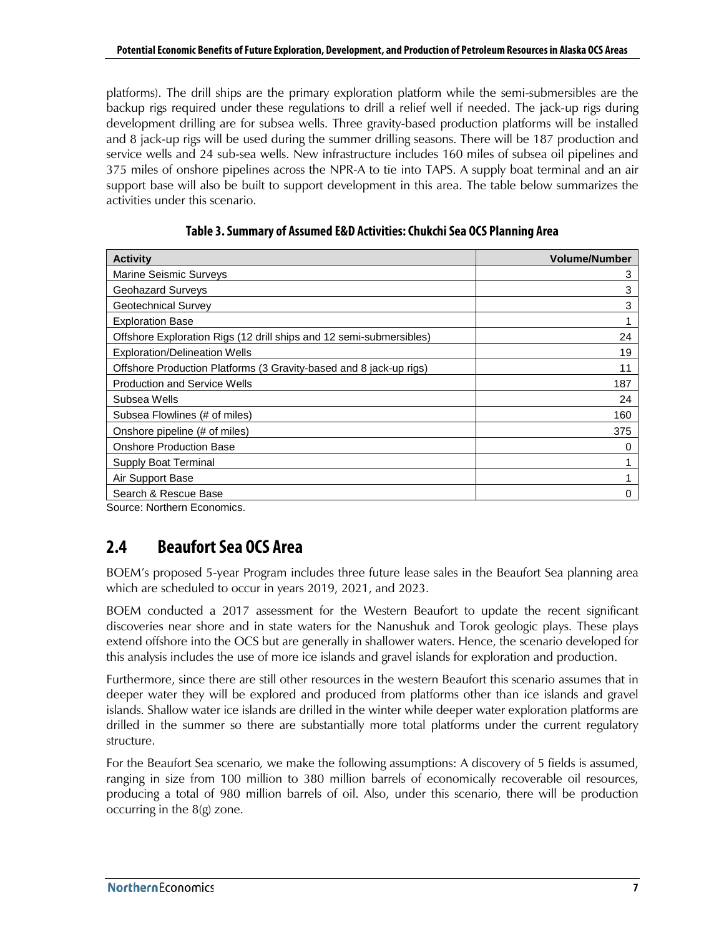platforms). The drill ships are the primary exploration platform while the semi-submersibles are the backup rigs required under these regulations to drill a relief well if needed. The jack-up rigs during development drilling are for subsea wells. Three gravity-based production platforms will be installed and 8 jack-up rigs will be used during the summer drilling seasons. There will be 187 production and service wells and 24 sub-sea wells. New infrastructure includes 160 miles of subsea oil pipelines and 375 miles of onshore pipelines across the NPR-A to tie into TAPS. A supply boat terminal and an air support base will also be built to support development in this area. The table below summarizes the activities under this scenario.

<span id="page-16-1"></span>

| <b>Activity</b>                                                     | <b>Volume/Number</b> |
|---------------------------------------------------------------------|----------------------|
| <b>Marine Seismic Surveys</b>                                       | 3                    |
| <b>Geohazard Surveys</b>                                            | 3                    |
| Geotechnical Survey                                                 | 3                    |
| <b>Exploration Base</b>                                             |                      |
| Offshore Exploration Rigs (12 drill ships and 12 semi-submersibles) | 24                   |
| <b>Exploration/Delineation Wells</b>                                | 19                   |
| Offshore Production Platforms (3 Gravity-based and 8 jack-up rigs)  | 11                   |
| <b>Production and Service Wells</b>                                 | 187                  |
| Subsea Wells                                                        | 24                   |
| Subsea Flowlines (# of miles)                                       | 160                  |
| Onshore pipeline (# of miles)                                       | 375                  |
| <b>Onshore Production Base</b>                                      |                      |
| Supply Boat Terminal                                                |                      |
| Air Support Base                                                    |                      |
| Search & Rescue Base                                                | Ω                    |

|  | Table 3. Summary of Assumed E&D Activities: Chukchi Sea OCS Planning Area |  |
|--|---------------------------------------------------------------------------|--|
|--|---------------------------------------------------------------------------|--|

<span id="page-16-0"></span>Source: Northern Economics.

## **2.4 Beaufort Sea OCS Area**

BOEM's proposed 5-year Program includes three future lease sales in the Beaufort Sea planning area which are scheduled to occur in years 2019, 2021, and 2023.

BOEM conducted a 2017 assessment for the Western Beaufort to update the recent significant discoveries near shore and in state waters for the Nanushuk and Torok geologic plays. These plays extend offshore into the OCS but are generally in shallower waters. Hence, the scenario developed for this analysis includes the use of more ice islands and gravel islands for exploration and production.

Furthermore, since there are still other resources in the western Beaufort this scenario assumes that in deeper water they will be explored and produced from platforms other than ice islands and gravel islands. Shallow water ice islands are drilled in the winter while deeper water exploration platforms are drilled in the summer so there are substantially more total platforms under the current regulatory structure.

For the Beaufort Sea scenario*,* we make the following assumptions: A discovery of 5 fields is assumed, ranging in size from 100 million to 380 million barrels of economically recoverable oil resources, producing a total of 980 million barrels of oil. Also, under this scenario, there will be production occurring in the 8(g) zone.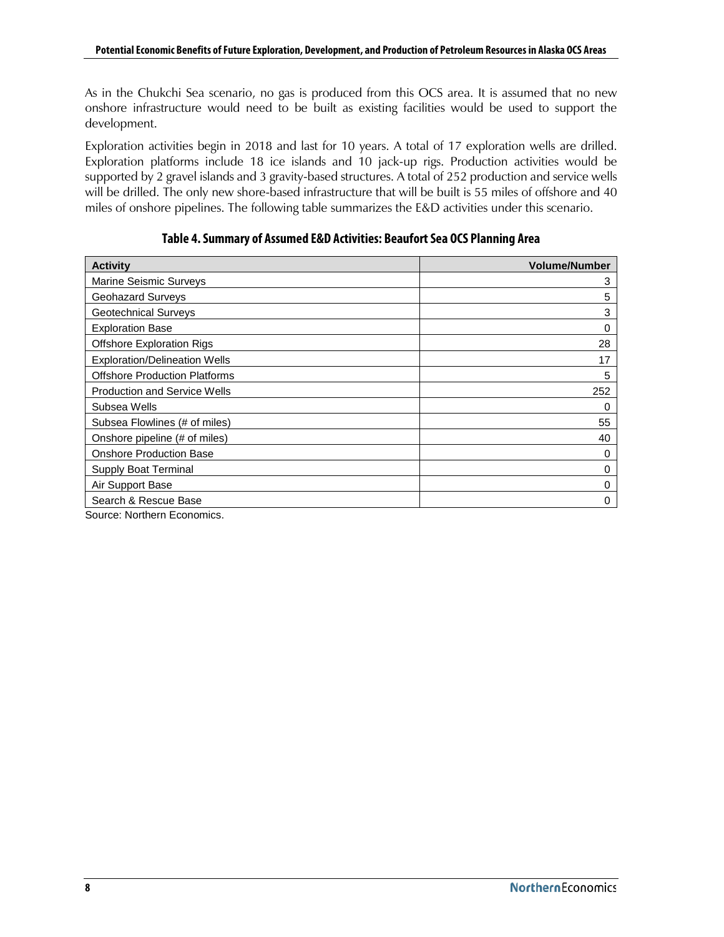As in the Chukchi Sea scenario, no gas is produced from this OCS area. It is assumed that no new onshore infrastructure would need to be built as existing facilities would be used to support the development.

Exploration activities begin in 2018 and last for 10 years. A total of 17 exploration wells are drilled. Exploration platforms include 18 ice islands and 10 jack-up rigs. Production activities would be supported by 2 gravel islands and 3 gravity-based structures. A total of 252 production and service wells will be drilled. The only new shore-based infrastructure that will be built is 55 miles of offshore and 40 miles of onshore pipelines. The following table summarizes the E&D activities under this scenario.

#### **Table 4.Summary of Assumed E&D Activities: Beaufort Sea OCS Planning Area**

<span id="page-17-0"></span>

| <b>Activity</b>                      | <b>Volume/Number</b> |
|--------------------------------------|----------------------|
| <b>Marine Seismic Surveys</b>        | 3                    |
| Geohazard Surveys                    | 5                    |
| Geotechnical Surveys                 | 3                    |
| <b>Exploration Base</b>              | 0                    |
| <b>Offshore Exploration Rigs</b>     | 28                   |
| <b>Exploration/Delineation Wells</b> | 17                   |
| <b>Offshore Production Platforms</b> | 5                    |
| <b>Production and Service Wells</b>  | 252                  |
| Subsea Wells                         | 0                    |
| Subsea Flowlines (# of miles)        | 55                   |
| Onshore pipeline (# of miles)        | 40                   |
| <b>Onshore Production Base</b>       | 0                    |
| Supply Boat Terminal                 | 0                    |
| Air Support Base                     | 0                    |
| Search & Rescue Base                 | 0                    |

Source: Northern Economics.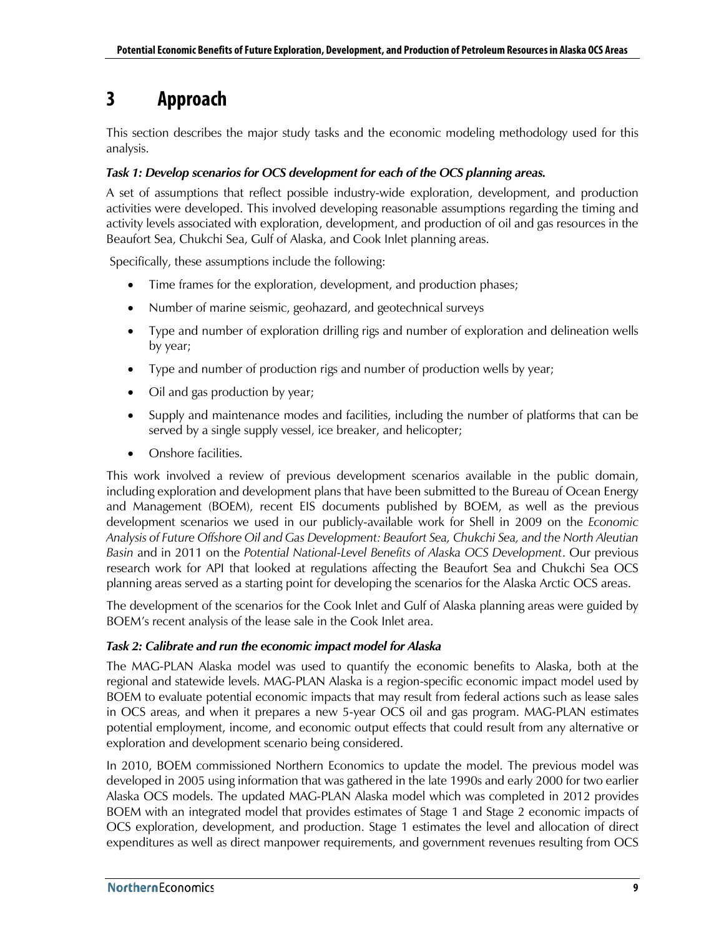## <span id="page-18-0"></span>**3 Approach**

This section describes the major study tasks and the economic modeling methodology used for this analysis.

#### *Task 1: Develop scenarios for OCS development for each of the OCS planning areas.*

A set of assumptions that reflect possible industry-wide exploration, development, and production activities were developed. This involved developing reasonable assumptions regarding the timing and activity levels associated with exploration, development, and production of oil and gas resources in the Beaufort Sea, Chukchi Sea, Gulf of Alaska, and Cook Inlet planning areas.

Specifically, these assumptions include the following:

- Time frames for the exploration, development, and production phases;
- Number of marine seismic, geohazard, and geotechnical surveys
- Type and number of exploration drilling rigs and number of exploration and delineation wells by year;
- Type and number of production rigs and number of production wells by year;
- Oil and gas production by year;
- Supply and maintenance modes and facilities, including the number of platforms that can be served by a single supply vessel, ice breaker, and helicopter;
- Onshore facilities.

This work involved a review of previous development scenarios available in the public domain, including exploration and development plans that have been submitted to the Bureau of Ocean Energy and Management (BOEM), recent EIS documents published by BOEM, as well as the previous development scenarios we used in our publicly-available work for Shell in 2009 on the *Economic Analysis of Future Offshore Oil and Gas Development: Beaufort Sea, Chukchi Sea, and the North Aleutian Basin* and in 2011 on the *Potential National-Level Benefits of Alaska OCS Development*. Our previous research work for API that looked at regulations affecting the Beaufort Sea and Chukchi Sea OCS planning areas served as a starting point for developing the scenarios for the Alaska Arctic OCS areas.

The development of the scenarios for the Cook Inlet and Gulf of Alaska planning areas were guided by BOEM's recent analysis of the lease sale in the Cook Inlet area.

#### *Task 2: Calibrate and run the economic impact model for Alaska*

The MAG-PLAN Alaska model was used to quantify the economic benefits to Alaska, both at the regional and statewide levels. MAG-PLAN Alaska is a region-specific economic impact model used by BOEM to evaluate potential economic impacts that may result from federal actions such as lease sales in OCS areas, and when it prepares a new 5-year OCS oil and gas program. MAG-PLAN estimates potential employment, income, and economic output effects that could result from any alternative or exploration and development scenario being considered.

In 2010, BOEM commissioned Northern Economics to update the model. The previous model was developed in 2005 using information that was gathered in the late 1990s and early 2000 for two earlier Alaska OCS models. The updated MAG-PLAN Alaska model which was completed in 2012 provides BOEM with an integrated model that provides estimates of Stage 1 and Stage 2 economic impacts of OCS exploration, development, and production. Stage 1 estimates the level and allocation of direct expenditures as well as direct manpower requirements, and government revenues resulting from OCS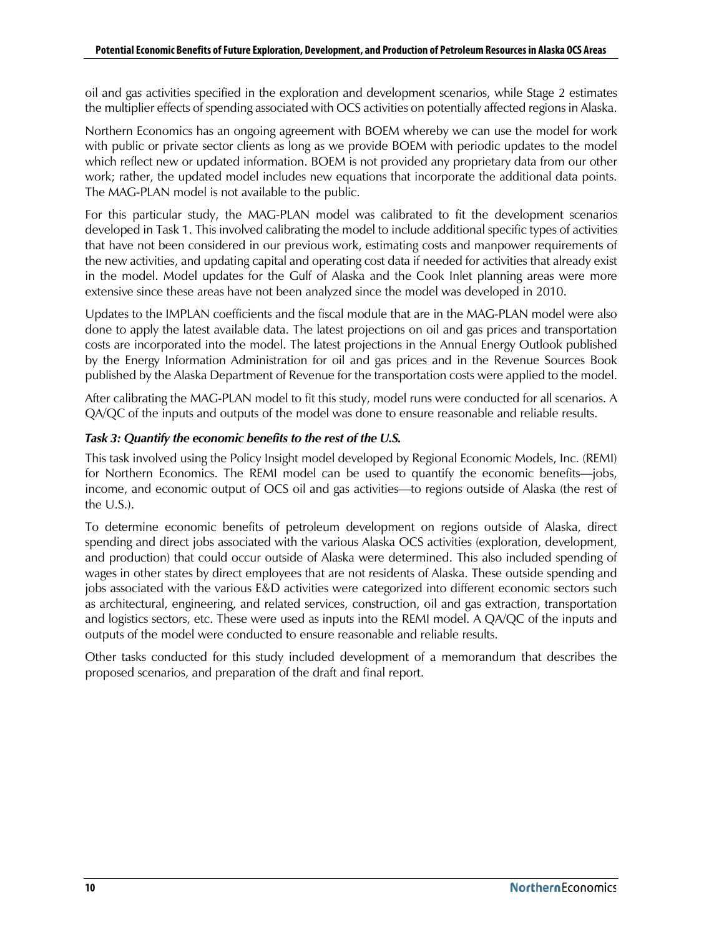oil and gas activities specified in the exploration and development scenarios, while Stage 2 estimates the multiplier effects of spending associated with OCS activities on potentially affected regions in Alaska.

Northern Economics has an ongoing agreement with BOEM whereby we can use the model for work with public or private sector clients as long as we provide BOEM with periodic updates to the model which reflect new or updated information. BOEM is not provided any proprietary data from our other work; rather, the updated model includes new equations that incorporate the additional data points. The MAG-PLAN model is not available to the public.

For this particular study, the MAG-PLAN model was calibrated to fit the development scenarios developed in Task 1. This involved calibrating the model to include additional specific types of activities that have not been considered in our previous work, estimating costs and manpower requirements of the new activities, and updating capital and operating cost data if needed for activities that already exist in the model. Model updates for the Gulf of Alaska and the Cook Inlet planning areas were more extensive since these areas have not been analyzed since the model was developed in 2010.

Updates to the IMPLAN coefficients and the fiscal module that are in the MAG-PLAN model were also done to apply the latest available data. The latest projections on oil and gas prices and transportation costs are incorporated into the model. The latest projections in the Annual Energy Outlook published by the Energy Information Administration for oil and gas prices and in the Revenue Sources Book published by the Alaska Department of Revenue for the transportation costs were applied to the model.

After calibrating the MAG-PLAN model to fit this study, model runs were conducted for all scenarios. A QA/QC of the inputs and outputs of the model was done to ensure reasonable and reliable results.

#### *Task 3: Quantify the economic benefits to the rest of the U.S.*

This task involved using the Policy Insight model developed by Regional Economic Models, Inc. (REMI) for Northern Economics. The REMI model can be used to quantify the economic benefits—jobs, income, and economic output of OCS oil and gas activities—to regions outside of Alaska (the rest of the U.S.).

To determine economic benefits of petroleum development on regions outside of Alaska, direct spending and direct jobs associated with the various Alaska OCS activities (exploration, development, and production) that could occur outside of Alaska were determined. This also included spending of wages in other states by direct employees that are not residents of Alaska. These outside spending and jobs associated with the various E&D activities were categorized into different economic sectors such as architectural, engineering, and related services, construction, oil and gas extraction, transportation and logistics sectors, etc. These were used as inputs into the REMI model. A QA/QC of the inputs and outputs of the model were conducted to ensure reasonable and reliable results.

Other tasks conducted for this study included development of a memorandum that describes the proposed scenarios, and preparation of the draft and final report.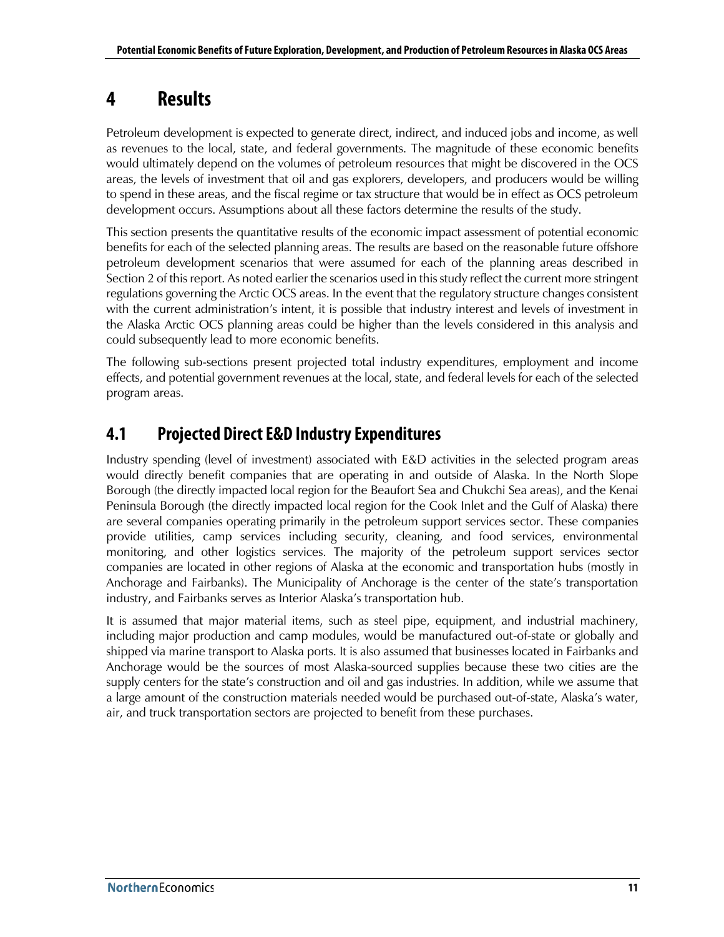## <span id="page-20-0"></span>**4 Results**

Petroleum development is expected to generate direct, indirect, and induced jobs and income, as well as revenues to the local, state, and federal governments. The magnitude of these economic benefits would ultimately depend on the volumes of petroleum resources that might be discovered in the OCS areas, the levels of investment that oil and gas explorers, developers, and producers would be willing to spend in these areas, and the fiscal regime or tax structure that would be in effect as OCS petroleum development occurs. Assumptions about all these factors determine the results of the study.

This section presents the quantitative results of the economic impact assessment of potential economic benefits for each of the selected planning areas. The results are based on the reasonable future offshore petroleum development scenarios that were assumed for each of the planning areas described in Section 2 of this report. As noted earlier the scenarios used in this study reflect the current more stringent regulations governing the Arctic OCS areas. In the event that the regulatory structure changes consistent with the current administration's intent, it is possible that industry interest and levels of investment in the Alaska Arctic OCS planning areas could be higher than the levels considered in this analysis and could subsequently lead to more economic benefits.

The following sub-sections present projected total industry expenditures, employment and income effects, and potential government revenues at the local, state, and federal levels for each of the selected program areas.

## <span id="page-20-1"></span>**4.1 Projected Direct E&D Industry Expenditures**

Industry spending (level of investment) associated with E&D activities in the selected program areas would directly benefit companies that are operating in and outside of Alaska. In the North Slope Borough (the directly impacted local region for the Beaufort Sea and Chukchi Sea areas), and the Kenai Peninsula Borough (the directly impacted local region for the Cook Inlet and the Gulf of Alaska) there are several companies operating primarily in the petroleum support services sector. These companies provide utilities, camp services including security, cleaning, and food services, environmental monitoring, and other logistics services. The majority of the petroleum support services sector companies are located in other regions of Alaska at the economic and transportation hubs (mostly in Anchorage and Fairbanks). The Municipality of Anchorage is the center of the state's transportation industry, and Fairbanks serves as Interior Alaska's transportation hub.

It is assumed that major material items, such as steel pipe, equipment, and industrial machinery, including major production and camp modules, would be manufactured out-of-state or globally and shipped via marine transport to Alaska ports. It is also assumed that businesses located in Fairbanks and Anchorage would be the sources of most Alaska-sourced supplies because these two cities are the supply centers for the state's construction and oil and gas industries. In addition, while we assume that a large amount of the construction materials needed would be purchased out-of-state, Alaska's water, air, and truck transportation sectors are projected to benefit from these purchases.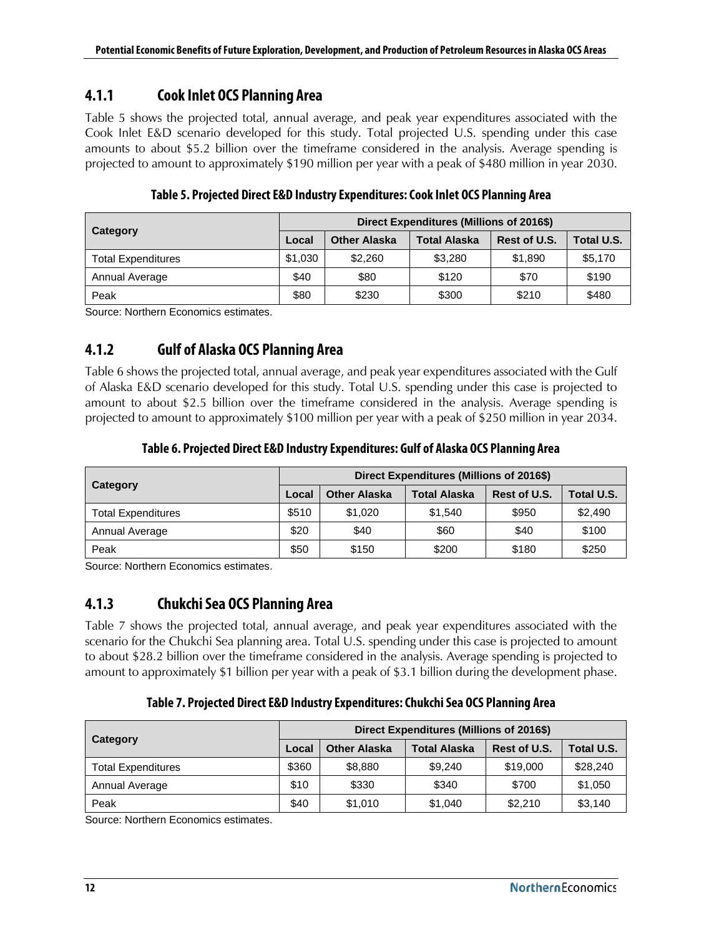## <span id="page-21-0"></span>**4.1.1 Cook Inlet OCS Planning Area**

[Table 5](#page-21-3) shows the projected total, annual average, and peak year expenditures associated with the Cook Inlet E&D scenario developed for this study. Total projected U.S. spending under this case amounts to about \$5.2 billion over the timeframe considered in the analysis. Average spending is projected to amount to approximately \$190 million per year with a peak of \$480 million in year 2030.

<span id="page-21-3"></span>

| Category                  | Direct Expenditures (Millions of 2016\$) |                     |                     |              |                   |
|---------------------------|------------------------------------------|---------------------|---------------------|--------------|-------------------|
|                           | Local                                    | <b>Other Alaska</b> | <b>Total Alaska</b> | Rest of U.S. | <b>Total U.S.</b> |
| <b>Total Expenditures</b> | \$1,030                                  | \$2,260             | \$3,280             | \$1,890      | \$5,170           |
| Annual Average            | \$40                                     | \$80                | \$120               | \$70         | \$190             |
| Peak                      | \$80                                     | \$230               | \$300               | \$210        | \$480             |

**Table 5. Projected Direct E&D Industry Expenditures: Cook Inlet OCS Planning Area**

<span id="page-21-1"></span>Source: Northern Economics estimates.

## **4.1.2 Gulf of Alaska OCS Planning Area**

[Table 6](#page-21-4) shows the projected total, annual average, and peak year expenditures associated with the Gulf of Alaska E&D scenario developed for this study. Total U.S. spending under this case is projected to amount to about \$2.5 billion over the timeframe considered in the analysis. Average spending is projected to amount to approximately \$100 million per year with a peak of \$250 million in year 2034.

### **Table 6. Projected Direct E&D Industry Expenditures: Gulf of Alaska OCS Planning Area**

<span id="page-21-4"></span>

|                    |       | Direct Expenditures (Millions of 2016\$) |                     |              |            |  |
|--------------------|-------|------------------------------------------|---------------------|--------------|------------|--|
| Category           | Local | <b>Other Alaska</b>                      | <b>Total Alaska</b> | Rest of U.S. | Total U.S. |  |
| Total Expenditures | \$510 | \$1,020                                  | \$1.540             | \$950        | \$2,490    |  |
| Annual Average     | \$20  | \$40                                     | \$60                | \$40         | \$100      |  |
| Peak               | \$50  | \$150                                    | \$200               | \$180        | \$250      |  |

<span id="page-21-2"></span>Source: Northern Economics estimates.

## **4.1.3 Chukchi Sea OCS Planning Are[a](#page-21-6)**

[Table 7](#page-21-6) shows the projected total, annual average, and peak year expenditures associated with the scenario for the Chukchi Sea planning area. Total U.S. spending under this case is projected to amount to about \$28.2 billion over the timeframe considered in the analysis. Average spending is projected to amount to approximately \$1 billion per year with a peak of \$3.1 billion during the development phase.

### <span id="page-21-6"></span>**Table 7. Projected Direct E&D Industry Expenditures: Chukchi Sea OCS Planning Area**

<span id="page-21-5"></span>

|                           | Direct Expenditures (Millions of 2016\$) |                     |                     |              |            |
|---------------------------|------------------------------------------|---------------------|---------------------|--------------|------------|
| Category                  | Local                                    | <b>Other Alaska</b> | <b>Total Alaska</b> | Rest of U.S. | Total U.S. |
| <b>Total Expenditures</b> | \$360                                    | \$8,880             | \$9.240             | \$19,000     | \$28,240   |
| Annual Average            | \$10                                     | \$330               | \$340               | \$700        | \$1,050    |
| Peak                      | \$40                                     | \$1,010             | \$1,040             | \$2,210      | \$3,140    |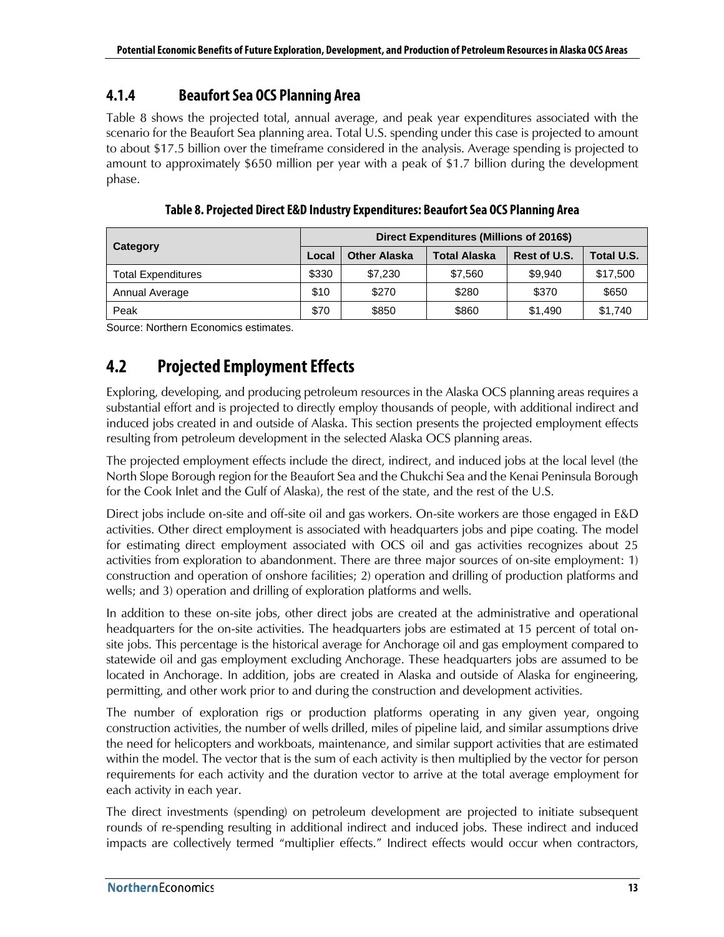## <span id="page-22-0"></span>**4.1.4 Beaufort Sea OCS Planning Area**

[Table 8](#page-22-2) shows the projected total, annual average, and peak year expenditures associated with the scenario for the Beaufort Sea planning area. Total U.S. spending under this case is projected to amount to about \$17.5 billion over the timeframe considered in the analysis. Average spending is projected to amount to approximately \$650 million per year with a peak of \$1.7 billion during the development phase.

<span id="page-22-2"></span>

| Category                  |       | Direct Expenditures (Millions of 2016\$) |                     |              |            |  |
|---------------------------|-------|------------------------------------------|---------------------|--------------|------------|--|
|                           | Local | <b>Other Alaska</b>                      | <b>Total Alaska</b> | Rest of U.S. | Total U.S. |  |
| <b>Total Expenditures</b> | \$330 | \$7.230                                  | \$7.560             | \$9.940      | \$17,500   |  |
| Annual Average            | \$10  | \$270                                    | \$280               | \$370        | \$650      |  |
| Peak                      | \$70  | \$850                                    | \$860               | \$1,490      | \$1,740    |  |

**Table 8. Projected Direct E&D Industry Expenditures: Beaufort Sea OCS Planning Area**

<span id="page-22-1"></span>Source: Northern Economics estimates.

## **4.2 Projected Employment Effects**

Exploring, developing, and producing petroleum resources in the Alaska OCS planning areas requires a substantial effort and is projected to directly employ thousands of people, with additional indirect and induced jobs created in and outside of Alaska. This section presents the projected employment effects resulting from petroleum development in the selected Alaska OCS planning areas.

The projected employment effects include the direct, indirect, and induced jobs at the local level (the North Slope Borough region for the Beaufort Sea and the Chukchi Sea and the Kenai Peninsula Borough for the Cook Inlet and the Gulf of Alaska), the rest of the state, and the rest of the U.S.

Direct jobs include on-site and off-site oil and gas workers. On-site workers are those engaged in E&D activities. Other direct employment is associated with headquarters jobs and pipe coating. The model for estimating direct employment associated with OCS oil and gas activities recognizes about 25 activities from exploration to abandonment. There are three major sources of on-site employment: 1) construction and operation of onshore facilities; 2) operation and drilling of production platforms and wells; and 3) operation and drilling of exploration platforms and wells.

In addition to these on-site jobs, other direct jobs are created at the administrative and operational headquarters for the on-site activities. The headquarters jobs are estimated at 15 percent of total onsite jobs. This percentage is the historical average for Anchorage oil and gas employment compared to statewide oil and gas employment excluding Anchorage. These headquarters jobs are assumed to be located in Anchorage. In addition, jobs are created in Alaska and outside of Alaska for engineering, permitting, and other work prior to and during the construction and development activities.

The number of exploration rigs or production platforms operating in any given year, ongoing construction activities, the number of wells drilled, miles of pipeline laid, and similar assumptions drive the need for helicopters and workboats, maintenance, and similar support activities that are estimated within the model. The vector that is the sum of each activity is then multiplied by the vector for person requirements for each activity and the duration vector to arrive at the total average employment for each activity in each year.

The direct investments (spending) on petroleum development are projected to initiate subsequent rounds of re-spending resulting in additional indirect and induced jobs. These indirect and induced impacts are collectively termed "multiplier effects." Indirect effects would occur when contractors,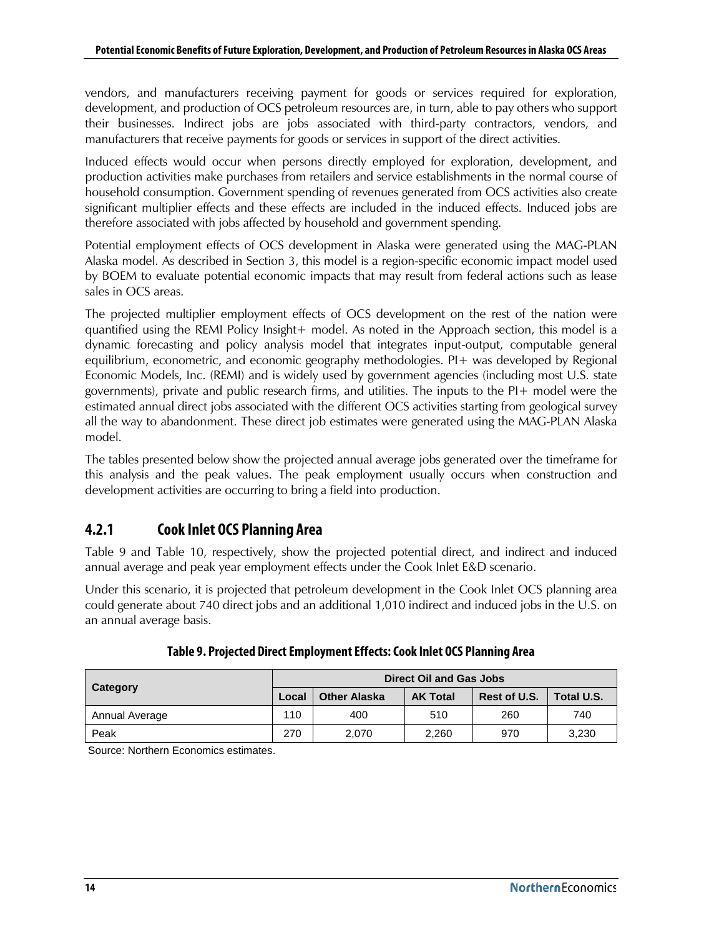vendors, and manufacturers receiving payment for goods or services required for exploration, development, and production of OCS petroleum resources are, in turn, able to pay others who support their businesses. Indirect jobs are jobs associated with third-party contractors, vendors, and manufacturers that receive payments for goods or services in support of the direct activities.

Induced effects would occur when persons directly employed for exploration, development, and production activities make purchases from retailers and service establishments in the normal course of household consumption. Government spending of revenues generated from OCS activities also create significant multiplier effects and these effects are included in the induced effects. Induced jobs are therefore associated with jobs affected by household and government spending.

Potential employment effects of OCS development in Alaska were generated using the MAG-PLAN Alaska model. As described in Section 3, this model is a region-specific economic impact model used by BOEM to evaluate potential economic impacts that may result from federal actions such as lease sales in OCS areas.

The projected multiplier employment effects of OCS development on the rest of the nation were quantified using the REMI Policy Insight+ model. As noted in the Approach section, this model is a dynamic forecasting and policy analysis model that integrates input-output, computable general equilibrium, econometric, and economic geography methodologies. PI+ was developed by Regional Economic Models, Inc. (REMI) and is widely used by government agencies (including most U.S. state governments), private and public research firms, and utilities. The inputs to the PI+ model were the estimated annual direct jobs associated with the different OCS activities starting from geological survey all the way to abandonment. These direct job estimates were generated using the MAG-PLAN Alaska model.

The tables presented below show the projected annual average jobs generated over the timeframe for this analysis and the peak values. The peak employment usually occurs when construction and development activities are occurring to bring a field into production.

## <span id="page-23-0"></span>**4.2.1 Cook Inlet OCS Planning Area**

[Table 9](#page-23-1) and [Table 10,](#page-24-2) respectively, show the projected potential direct, and indirect and induced annual average and peak year employment effects under the Cook Inlet E&D scenario.

Under this scenario, it is projected that petroleum development in the Cook Inlet OCS planning area could generate about 740 direct jobs and an additional 1,010 indirect and induced jobs in the U.S. on an annual average basis.

<span id="page-23-1"></span>

| Category       | <b>Direct Oil and Gas Jobs</b> |                     |                 |              |            |
|----------------|--------------------------------|---------------------|-----------------|--------------|------------|
|                | Local                          | <b>Other Alaska</b> | <b>AK Total</b> | Rest of U.S. | Total U.S. |
| Annual Average | 110                            | 400                 | 510             | 260          | 740        |
| Peak           | 270                            | 2,070               | 2,260           | 970          | 3,230      |

### **Table 9. Projected Direct Employment Effects: Cook Inlet OCS Planning Area**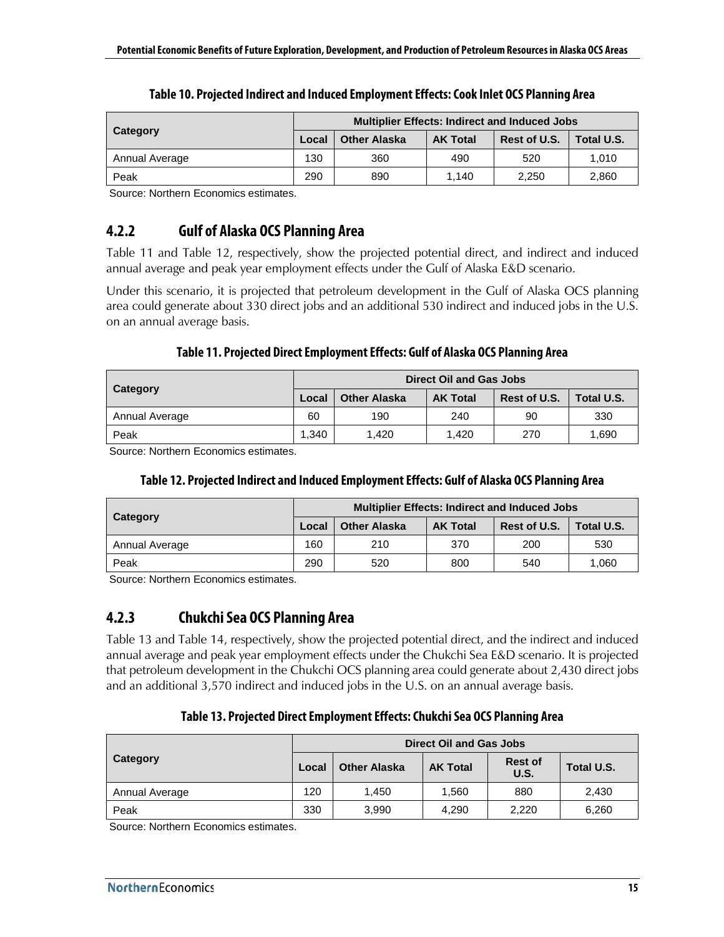<span id="page-24-2"></span>

|                | <b>Multiplier Effects: Indirect and Induced Jobs</b> |                     |                 |              |            |
|----------------|------------------------------------------------------|---------------------|-----------------|--------------|------------|
| Category       | Local                                                | <b>Other Alaska</b> | <b>AK Total</b> | Rest of U.S. | Total U.S. |
| Annual Average | 130                                                  | 360                 | 490             | 520          | 1.010      |
| Peak           | 290                                                  | 890                 | 1.140           | 2.250        | 2.860      |

|  |  | Table 10. Projected Indirect and Induced Employment Effects: Cook Inlet OCS Planning Area |
|--|--|-------------------------------------------------------------------------------------------|
|  |  |                                                                                           |

<span id="page-24-0"></span>Source: Northern Economics estimates.

### **4.2.2 Gulf of Alaska OCS Planning Area**

[Table 11](#page-24-3) and [Table 12,](#page-24-4) respectively, show the projected potential direct, and indirect and induced annual average and peak year employment effects under the Gulf of Alaska E&D scenario.

Under this scenario, it is projected that petroleum development in the Gulf of Alaska OCS planning area could generate about 330 direct jobs and an additional 530 indirect and induced jobs in the U.S. on an annual average basis.

#### **Table 11. Projected Direct Employment Effects: Gulf of Alaska OCS Planning Area**

<span id="page-24-3"></span>

| Category       | <b>Direct Oil and Gas Jobs</b> |                     |                 |              |            |
|----------------|--------------------------------|---------------------|-----------------|--------------|------------|
|                | Local                          | <b>Other Alaska</b> | <b>AK Total</b> | Rest of U.S. | Total U.S. |
| Annual Average | 60                             | 190                 | 240             | 90           | 330        |
| Peak           | 1.340                          | 1.420               | 1.420           | 270          | 1.690      |

<span id="page-24-4"></span>Source: Northern Economics estimates.

#### **Table 12. Projected Indirect and Induced Employment Effects: Gulf of Alaska OCS Planning Area**

| Category       | <b>Multiplier Effects: Indirect and Induced Jobs</b> |                     |                 |              |            |
|----------------|------------------------------------------------------|---------------------|-----------------|--------------|------------|
|                | Local                                                | <b>Other Alaska</b> | <b>AK Total</b> | Rest of U.S. | Total U.S. |
| Annual Average | 160                                                  | 210                 | 370             | 200          | 530        |
| Peak           | 290                                                  | 520                 | 800             | 540          | 1.060      |

<span id="page-24-1"></span>Source: Northern Economics estimates.

## **4.2.3 Chukchi Sea OCS Planning Area**

[Table 13](#page-24-5) and [Table 14,](#page-25-3) respectively, show the projected potential direct, and the indirect and induced annual average and peak year employment effects under the Chukchi Sea E&D scenario. It is projected that petroleum development in the Chukchi OCS planning area could generate about 2,430 direct jobs and an additional 3,570 indirect and induced jobs in the U.S. on an annual average basis.

#### **Table 13. Projected Direct Employment Effects:Chukchi Sea OCS Planning Area**

<span id="page-24-5"></span>

| Category       | Direct Oil and Gas Jobs |                     |                 |                        |            |
|----------------|-------------------------|---------------------|-----------------|------------------------|------------|
|                | Local                   | <b>Other Alaska</b> | <b>AK Total</b> | <b>Rest of</b><br>U.S. | Total U.S. |
| Annual Average | 120                     | 1.450               | 1,560           | 880                    | 2,430      |
| Peak           | 330                     | 3,990               | 4.290           | 2,220                  | 6,260      |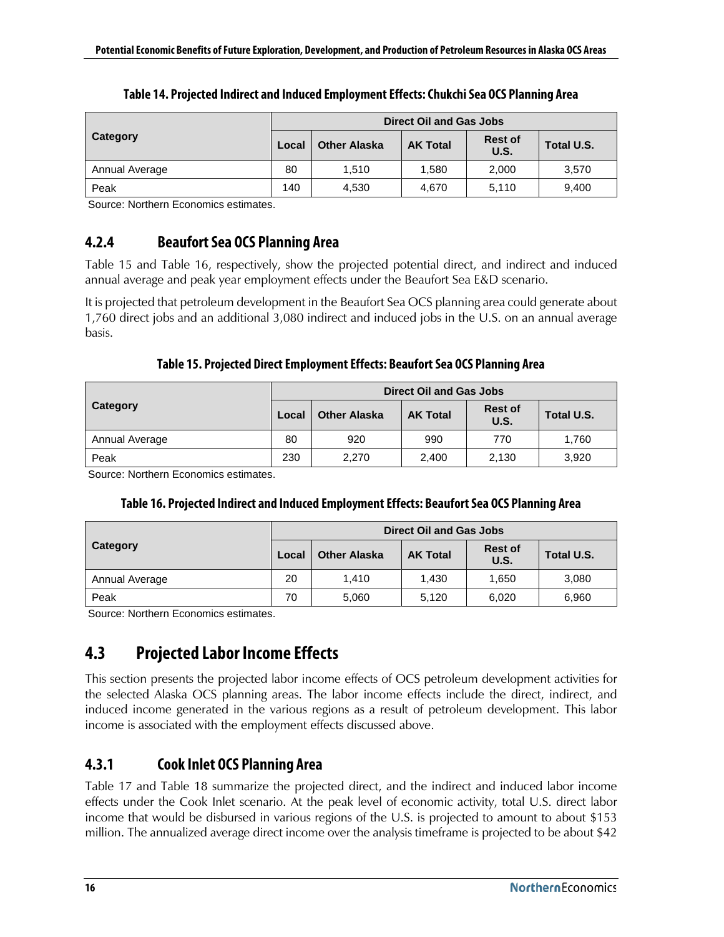<span id="page-25-3"></span>

|                | <b>Direct Oil and Gas Jobs</b> |                     |                 |                        |            |  |  |
|----------------|--------------------------------|---------------------|-----------------|------------------------|------------|--|--|
| Category       | Local                          | <b>Other Alaska</b> | <b>AK Total</b> | <b>Rest of</b><br>U.S. | Total U.S. |  |  |
| Annual Average | 80                             | 1.510               | 1.580           | 2,000                  | 3,570      |  |  |
| Peak           | 140                            | 4,530               | 4.670           | 5,110                  | 9,400      |  |  |

| Table 14. Projected Indirect and Induced Employment Effects: Chukchi Sea OCS Planning Area |  |  |
|--------------------------------------------------------------------------------------------|--|--|
|                                                                                            |  |  |

<span id="page-25-0"></span>Source: Northern Economics estimates.

## **4.2.4 Beaufort Sea OCS Planning Area**

[Table 15](#page-25-4) and [Table 16,](#page-25-5) respectively, show the projected potential direct, and indirect and induced annual average and peak year employment effects under the Beaufort Sea E&D scenario.

It is projected that petroleum development in the Beaufort Sea OCS planning area could generate about 1,760 direct jobs and an additional 3,080 indirect and induced jobs in the U.S. on an annual average basis.

### **Table 15. Projected Direct Employment Effects: Beaufort Sea OCS Planning Area**

<span id="page-25-4"></span>

|                | <b>Direct Oil and Gas Jobs</b> |                     |                 |                        |            |  |  |
|----------------|--------------------------------|---------------------|-----------------|------------------------|------------|--|--|
| Category       | Local                          | <b>Other Alaska</b> | <b>AK Total</b> | <b>Rest of</b><br>U.S. | Total U.S. |  |  |
| Annual Average | 80                             | 920                 | 990             | 770                    | 1,760      |  |  |
| Peak           | 230                            | 2.270               | 2.400           | 2.130                  | 3,920      |  |  |

<span id="page-25-5"></span>Source: Northern Economics estimates.

### **Table 16. Projected Indirect and Induced Employment Effects: Beaufort Sea OCS Planning Area**

|                | Direct Oil and Gas Jobs |                     |                 |                               |            |  |
|----------------|-------------------------|---------------------|-----------------|-------------------------------|------------|--|
| Category       | Local                   | <b>Other Alaska</b> | <b>AK Total</b> | <b>Rest of</b><br><b>U.S.</b> | Total U.S. |  |
| Annual Average | 20                      | 1.410               | 1.430           | 1,650                         | 3,080      |  |
| Peak           | 70                      | 5,060               | 5,120           | 6,020                         | 6,960      |  |

<span id="page-25-1"></span>Source: Northern Economics estimates.

## **4.3 Projected Labor Income Effects**

This section presents the projected labor income effects of OCS petroleum development activities for the selected Alaska OCS planning areas. The labor income effects include the direct, indirect, and induced income generated in the various regions as a result of petroleum development. This labor income is associated with the employment effects discussed above.

## <span id="page-25-2"></span>**4.3.1 Cook Inlet OCS Planning Area**

[Table 17](#page-26-1) and [Table 18](#page-26-2) summarize the projected direct, and the indirect and induced labor income effects under the Cook Inlet scenario. At the peak level of economic activity, total U.S. direct labor income that would be disbursed in various regions of the U.S. is projected to amount to about \$153 million. The annualized average direct income over the analysis timeframe is projected to be about \$42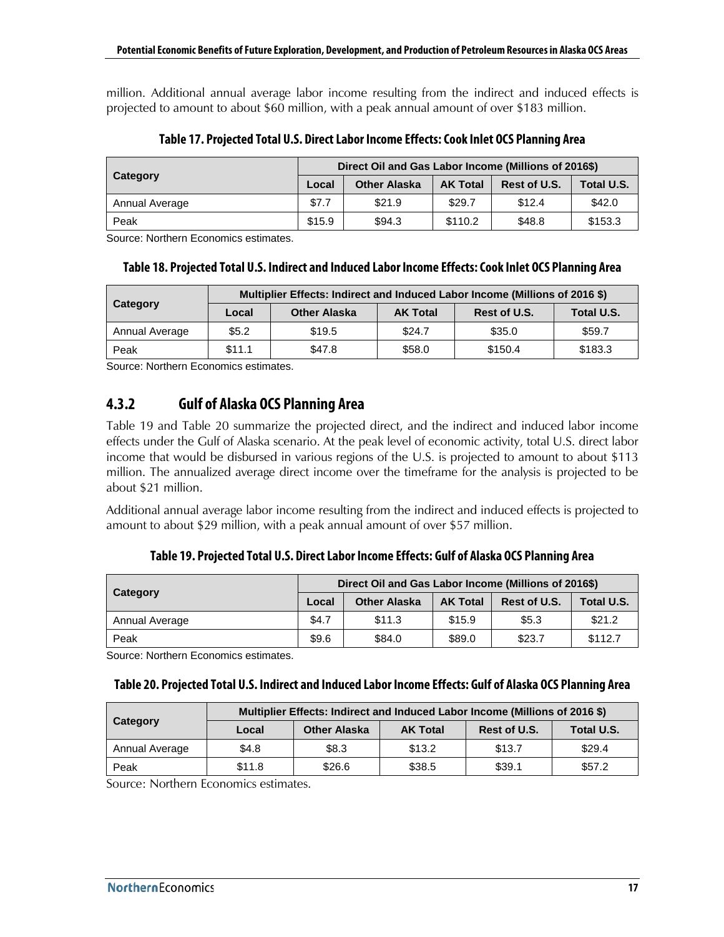million. Additional annual average labor income resulting from the indirect and induced effects is projected to amount to about \$60 million, with a peak annual amount of over \$183 million.

<span id="page-26-1"></span>

|                | Direct Oil and Gas Labor Income (Millions of 2016\$) |                     |                 |              |            |  |
|----------------|------------------------------------------------------|---------------------|-----------------|--------------|------------|--|
| Category       | Local                                                | <b>Other Alaska</b> | <b>AK Total</b> | Rest of U.S. | Total U.S. |  |
| Annual Average | \$7.7                                                | \$21.9              | \$29.7          | \$12.4       | \$42.0     |  |
| Peak           | \$15.9                                               | \$94.3              | \$110.2         | \$48.8       | \$153.3    |  |

**Table 17. Projected Total U.S. Direct Labor Income Effects: Cook Inlet OCS Planning Area**

<span id="page-26-2"></span>Source: Northern Economics estimates.

#### **Table 18. Projected Total U.S. Indirect and Induced Labor Income Effects: Cook Inlet OCS Planning Area**

|                | Multiplier Effects: Indirect and Induced Labor Income (Millions of 2016 \$) |                     |                 |              |            |  |  |  |
|----------------|-----------------------------------------------------------------------------|---------------------|-----------------|--------------|------------|--|--|--|
| Category       | Local                                                                       | <b>Other Alaska</b> | <b>AK Total</b> | Rest of U.S. | Total U.S. |  |  |  |
| Annual Average | \$5.2\$                                                                     | \$19.5              | \$24.7          | \$35.0       | \$59.7     |  |  |  |
| Peak           | \$11.1                                                                      | \$47.8              | \$58.0          | \$150.4      | \$183.3    |  |  |  |

<span id="page-26-0"></span>Source: Northern Economics estimates.

## **4.3.2 Gulf of Alaska OCS Planning Area**

[Table 19](#page-26-3) and [Table 20](#page-26-4) summarize the projected direct, and the indirect and induced labor income effects under the Gulf of Alaska scenario. At the peak level of economic activity, total U.S. direct labor income that would be disbursed in various regions of the U.S. is projected to amount to about \$113 million. The annualized average direct income over the timeframe for the analysis is projected to be about \$21 million.

Additional annual average labor income resulting from the indirect and induced effects is projected to amount to about \$29 million, with a peak annual amount of over \$57 million.

**Table 19. Projected Total U.S. Direct Labor Income Effects: Gulf of Alaska OCS Planning Area**

<span id="page-26-3"></span>

| Category       | Direct Oil and Gas Labor Income (Millions of 2016\$) |                     |                 |              |            |  |
|----------------|------------------------------------------------------|---------------------|-----------------|--------------|------------|--|
|                | Local                                                | <b>Other Alaska</b> | <b>AK Total</b> | Rest of U.S. | Total U.S. |  |
| Annual Average | \$4.7                                                | \$11.3              | \$15.9          | \$5.3        | \$21.2     |  |
| Peak           | \$9.6                                                | \$84.0              | \$89.0          | \$23.7       | \$112.7    |  |

<span id="page-26-4"></span>Source: Northern Economics estimates.

| Table 20. Projected Total U.S. Indirect and Induced Labor Income Effects: Gulf of Alaska OCS Planning Area |
|------------------------------------------------------------------------------------------------------------|
|------------------------------------------------------------------------------------------------------------|

|                | Multiplier Effects: Indirect and Induced Labor Income (Millions of 2016 \$) |                     |                 |              |            |  |  |  |
|----------------|-----------------------------------------------------------------------------|---------------------|-----------------|--------------|------------|--|--|--|
| Category       | Local                                                                       | <b>Other Alaska</b> | <b>AK Total</b> | Rest of U.S. | Total U.S. |  |  |  |
| Annual Average | \$4.8                                                                       | \$8.3               | \$13.2          | \$13.7       | \$29.4     |  |  |  |
| Peak           | \$11.8                                                                      | \$26.6              | \$38.5          | \$39.1       | \$57.2     |  |  |  |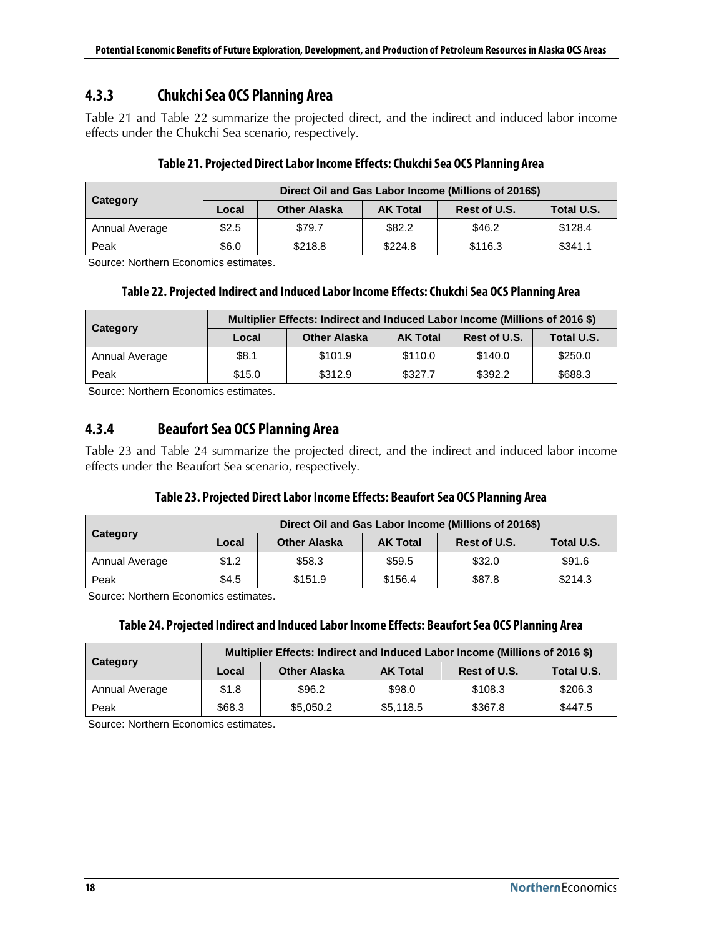## <span id="page-27-0"></span>**4.3.3 Chukchi Sea OCS Planning Area**

[Table 21](#page-27-2) and [Table 22](#page-27-3) summarize the projected direct, and the indirect and induced labor income effects under the Chukchi Sea scenario, respectively.

<span id="page-27-2"></span>

|                | Direct Oil and Gas Labor Income (Millions of 2016\$) |                     |                 |              |            |  |  |  |
|----------------|------------------------------------------------------|---------------------|-----------------|--------------|------------|--|--|--|
| Category       | Local                                                | <b>Other Alaska</b> | <b>AK Total</b> | Rest of U.S. | Total U.S. |  |  |  |
| Annual Average | \$2.5                                                | \$79.7              | \$82.2          | \$46.2       | \$128.4    |  |  |  |
| Peak           | \$6.0                                                | \$218.8             | \$224.8         | \$116.3      | \$341.1    |  |  |  |

### **Table 21. Projected Direct Labor Income Effects: Chukchi Sea OCS Planning Area**

<span id="page-27-3"></span>Source: Northern Economics estimates.

#### **Table 22. Projected Indirect and Induced Labor Income Effects: Chukchi Sea OCS Planning Area**

|                | Multiplier Effects: Indirect and Induced Labor Income (Millions of 2016 \$) |                     |                 |              |            |  |  |  |
|----------------|-----------------------------------------------------------------------------|---------------------|-----------------|--------------|------------|--|--|--|
| Category       | Local                                                                       | <b>Other Alaska</b> | <b>AK Total</b> | Rest of U.S. | Total U.S. |  |  |  |
| Annual Average | \$8.1                                                                       | \$101.9             | \$110.0         | \$140.0      | \$250.0    |  |  |  |
| Peak           | \$15.0                                                                      | \$312.9             | \$327.7         | \$392.2      | \$688.3    |  |  |  |

<span id="page-27-1"></span>Source: Northern Economics estimates.

## **4.3.4 Beaufort Sea OCS Planning Area**

[Table 23](#page-27-4) and [Table 24](#page-27-5) summarize the projected direct, and the indirect and induced labor income effects under the Beaufort Sea scenario, respectively.

#### **Table 23. Projected Direct Labor Income Effects: Beaufort Sea OCS Planning Area**

<span id="page-27-4"></span>

|                | Direct Oil and Gas Labor Income (Millions of 2016\$) |                     |                 |              |            |  |  |  |
|----------------|------------------------------------------------------|---------------------|-----------------|--------------|------------|--|--|--|
| Category       | Local                                                | <b>Other Alaska</b> | <b>AK Total</b> | Rest of U.S. | Total U.S. |  |  |  |
| Annual Average | \$1.2                                                | \$58.3              | \$59.5          | \$32.0       | \$91.6     |  |  |  |
| Peak           | \$4.5                                                | \$151.9             | \$156.4         | \$87.8       | \$214.3    |  |  |  |

<span id="page-27-5"></span>Source: Northern Economics estimates.

#### **Table 24. Projected Indirect and Induced Labor Income Effects: Beaufort Sea OCS Planning Area**

|                 | Multiplier Effects: Indirect and Induced Labor Income (Millions of 2016 \$) |                     |                 |         |            |  |  |  |
|-----------------|-----------------------------------------------------------------------------|---------------------|-----------------|---------|------------|--|--|--|
| <b>Category</b> | Local                                                                       | <b>Other Alaska</b> | <b>AK Total</b> |         | Total U.S. |  |  |  |
| Annual Average  | \$1.8                                                                       | \$96.2              | \$98.0          | \$108.3 | \$206.3    |  |  |  |
| Peak            | \$68.3                                                                      | \$5,050.2           | \$5,118.5       | \$367.8 | \$447.5    |  |  |  |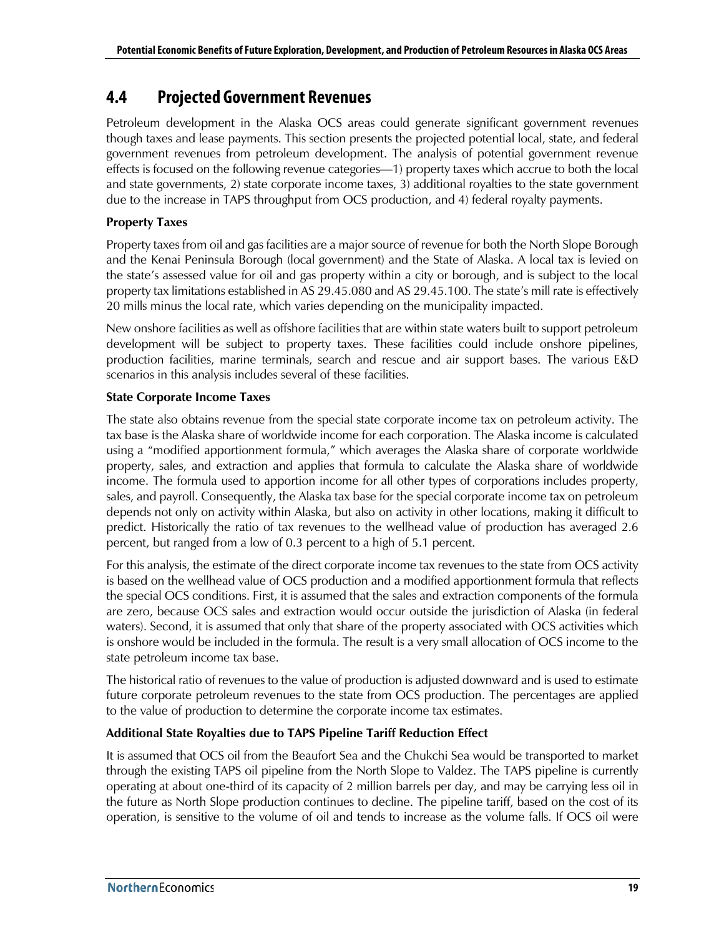## <span id="page-28-0"></span>**4.4 Projected Government Revenues**

Petroleum development in the Alaska OCS areas could generate significant government revenues though taxes and lease payments. This section presents the projected potential local, state, and federal government revenues from petroleum development. The analysis of potential government revenue effects is focused on the following revenue categories—1) property taxes which accrue to both the local and state governments, 2) state corporate income taxes, 3) additional royalties to the state government due to the increase in TAPS throughput from OCS production, and 4) federal royalty payments.

### **Property Taxes**

Property taxes from oil and gas facilities are a major source of revenue for both the North Slope Borough and the Kenai Peninsula Borough (local government) and the State of Alaska. A local tax is levied on the state's assessed value for oil and gas property within a city or borough, and is subject to the local property tax limitations established in AS 29.45.080 and AS 29.45.100. The state's mill rate is effectively 20 mills minus the local rate, which varies depending on the municipality impacted.

New onshore facilities as well as offshore facilities that are within state waters built to support petroleum development will be subject to property taxes. These facilities could include onshore pipelines, production facilities, marine terminals, search and rescue and air support bases. The various E&D scenarios in this analysis includes several of these facilities.

#### **State Corporate Income Taxes**

The state also obtains revenue from the special state corporate income tax on petroleum activity. The tax base is the Alaska share of worldwide income for each corporation. The Alaska income is calculated using a "modified apportionment formula," which averages the Alaska share of corporate worldwide property, sales, and extraction and applies that formula to calculate the Alaska share of worldwide income. The formula used to apportion income for all other types of corporations includes property, sales, and payroll. Consequently, the Alaska tax base for the special corporate income tax on petroleum depends not only on activity within Alaska, but also on activity in other locations, making it difficult to predict. Historically the ratio of tax revenues to the wellhead value of production has averaged 2.6 percent, but ranged from a low of 0.3 percent to a high of 5.1 percent.

For this analysis, the estimate of the direct corporate income tax revenues to the state from OCS activity is based on the wellhead value of OCS production and a modified apportionment formula that reflects the special OCS conditions. First, it is assumed that the sales and extraction components of the formula are zero, because OCS sales and extraction would occur outside the jurisdiction of Alaska (in federal waters). Second, it is assumed that only that share of the property associated with OCS activities which is onshore would be included in the formula. The result is a very small allocation of OCS income to the state petroleum income tax base.

The historical ratio of revenues to the value of production is adjusted downward and is used to estimate future corporate petroleum revenues to the state from OCS production. The percentages are applied to the value of production to determine the corporate income tax estimates.

### **Additional State Royalties due to TAPS Pipeline Tariff Reduction Effect**

It is assumed that OCS oil from the Beaufort Sea and the Chukchi Sea would be transported to market through the existing TAPS oil pipeline from the North Slope to Valdez. The TAPS pipeline is currently operating at about one-third of its capacity of 2 million barrels per day, and may be carrying less oil in the future as North Slope production continues to decline. The pipeline tariff, based on the cost of its operation, is sensitive to the volume of oil and tends to increase as the volume falls. If OCS oil were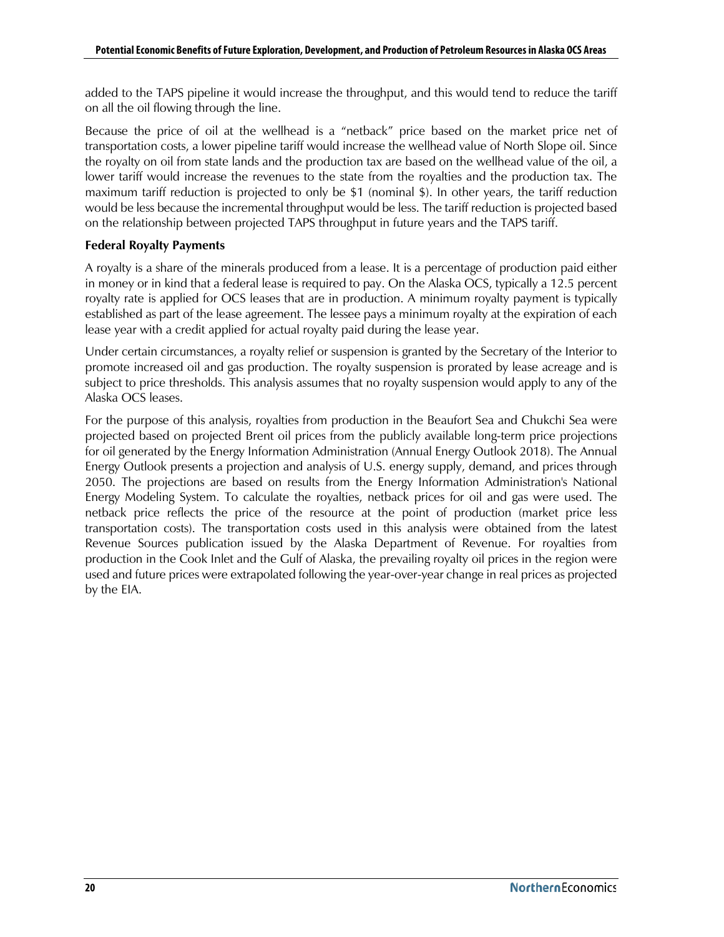added to the TAPS pipeline it would increase the throughput, and this would tend to reduce the tariff on all the oil flowing through the line.

Because the price of oil at the wellhead is a "netback" price based on the market price net of transportation costs, a lower pipeline tariff would increase the wellhead value of North Slope oil. Since the royalty on oil from state lands and the production tax are based on the wellhead value of the oil, a lower tariff would increase the revenues to the state from the royalties and the production tax. The maximum tariff reduction is projected to only be \$1 (nominal \$). In other years, the tariff reduction would be less because the incremental throughput would be less. The tariff reduction is projected based on the relationship between projected TAPS throughput in future years and the TAPS tariff.

#### **Federal Royalty Payments**

A royalty is a share of the minerals produced from a lease. It is a percentage of production paid either in money or in kind that a federal lease is required to pay. On the Alaska OCS, typically a 12.5 percent royalty rate is applied for OCS leases that are in production. A minimum royalty payment is typically established as part of the lease agreement. The lessee pays a minimum royalty at the expiration of each lease year with a credit applied for actual royalty paid during the lease year.

Under certain circumstances, a royalty relief or suspension is granted by the Secretary of the Interior to promote increased oil and gas production. The royalty suspension is prorated by lease acreage and is subject to price thresholds. This analysis assumes that no royalty suspension would apply to any of the Alaska OCS leases.

For the purpose of this analysis, royalties from production in the Beaufort Sea and Chukchi Sea were projected based on projected Brent oil prices from the publicly available long-term price projections for oil generated by the Energy Information Administration (Annual Energy Outlook 2018). The Annual Energy Outlook presents a projection and analysis of U.S. energy supply, demand, and prices through 2050. The projections are based on results from the Energy Information Administration's National Energy Modeling System. To calculate the royalties, netback prices for oil and gas were used. The netback price reflects the price of the resource at the point of production (market price less transportation costs). The transportation costs used in this analysis were obtained from the latest Revenue Sources publication issued by the Alaska Department of Revenue. For royalties from production in the Cook Inlet and the Gulf of Alaska, the prevailing royalty oil prices in the region were used and future prices were extrapolated following the year-over-year change in real prices as projected by the EIA.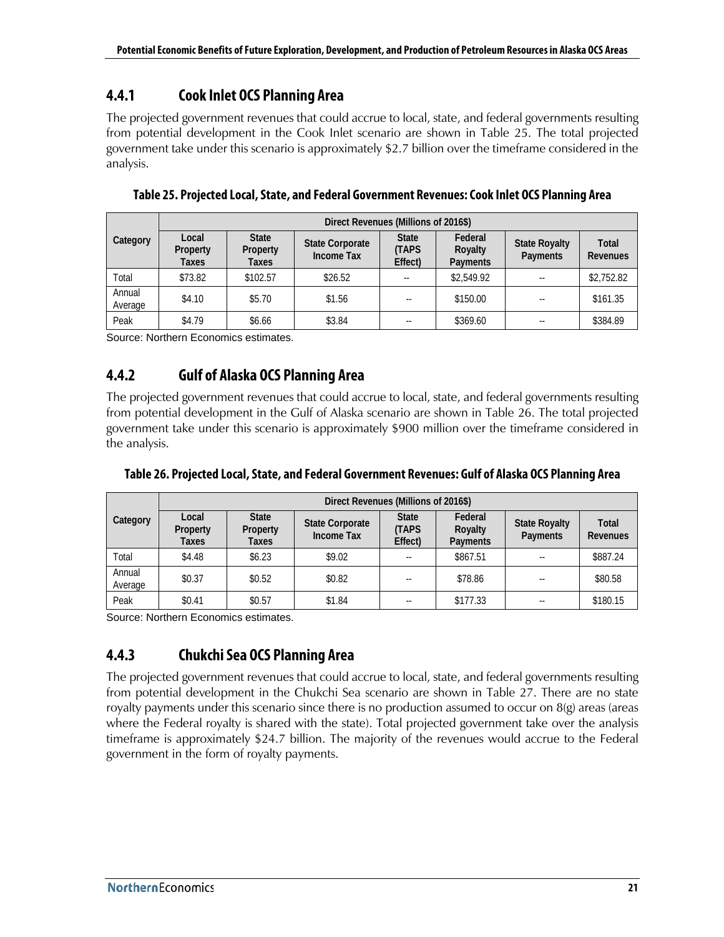## <span id="page-30-0"></span>**4.4.1 Cook Inlet OCS Planning Area**

The projected government revenues that could accrue to local, state, and federal governments resulting from potential development in the Cook Inlet scenario are shown in [Table 25.](#page-30-3) The total projected government take under this scenario is approximately \$2.7 billion over the timeframe considered in the analysis.

|                   | Direct Revenues (Millions of 2016\$) |                                   |                                             |                                        |                                |                                  |                          |  |
|-------------------|--------------------------------------|-----------------------------------|---------------------------------------------|----------------------------------------|--------------------------------|----------------------------------|--------------------------|--|
| Category          | Local<br>Property<br>Taxes           | <b>State</b><br>Property<br>Taxes | <b>State Corporate</b><br><b>Income Tax</b> | <b>State</b><br><b>TAPS</b><br>Effect) | Federal<br>Royalty<br>Payments | <b>State Royalty</b><br>Payments | <b>Total</b><br>Revenues |  |
| Total             | \$73.82                              | \$102.57                          | \$26.52                                     | --                                     | \$2,549.92                     |                                  | \$2,752.82               |  |
| Annual<br>Average | \$4.10                               | \$5.70                            | \$1.56                                      | $- -$                                  | \$150.00                       |                                  | \$161.35                 |  |
| Peak              | \$4.79                               | \$6.66                            | \$3.84                                      | $\sim$ $-$                             | \$369.60                       | --                               | \$384.89                 |  |

<span id="page-30-3"></span>**Table 25. Projected Local, State, and Federal Government Revenues: Cook Inlet OCS Planning Area**

<span id="page-30-1"></span>Source: Northern Economics estimates.

## **4.4.2 Gulf of Alaska OCS Planning Area**

The projected government revenues that could accrue to local, state, and federal governments resulting from potential development in the Gulf of Alaska scenario are shown in [Table 26.](#page-30-4) The total projected government take under this scenario is approximately \$900 million over the timeframe considered in the analysis.

|                   | Direct Revenues (Millions of 2016\$) |                                   |                                             |                                        |                                |                                  |                          |  |  |
|-------------------|--------------------------------------|-----------------------------------|---------------------------------------------|----------------------------------------|--------------------------------|----------------------------------|--------------------------|--|--|
| Category          | Local<br>Property<br>Taxes           | <b>State</b><br>Property<br>Taxes | <b>State Corporate</b><br><b>Income Tax</b> | <b>State</b><br><b>TAPS</b><br>Effect) | Federal<br>Royalty<br>Payments | <b>State Royalty</b><br>Payments | Total<br><b>Revenues</b> |  |  |
| Total             | \$4.48                               | \$6.23\$                          | \$9.02                                      | $- -$                                  | \$867.51                       |                                  | \$887.24                 |  |  |
| Annual<br>Average | \$0.37                               | \$0.52                            | \$0.82                                      | --                                     | \$78.86                        |                                  | \$80.58                  |  |  |
| Peak              | \$0.41                               | \$0.57                            | \$1.84                                      | $\sim$ $\sim$                          | \$177.33                       |                                  | \$180.15                 |  |  |

<span id="page-30-4"></span>**Table 26. Projected Local, State, and Federal Government Revenues: Gulf of Alaska OCS Planning Area**

<span id="page-30-2"></span>Source: Northern Economics estimates.

## **4.4.3 Chukchi Sea OCS Planning Area**

The projected government revenues that could accrue to local, state, and federal governments resulting from potential development in the Chukchi Sea scenario are shown in [Table 27.](#page-31-1) There are no state royalty payments under this scenario since there is no production assumed to occur on 8(g) areas (areas where the Federal royalty is shared with the state). Total projected government take over the analysis timeframe is approximately \$24.7 billion. The majority of the revenues would accrue to the Federal government in the form of royalty payments.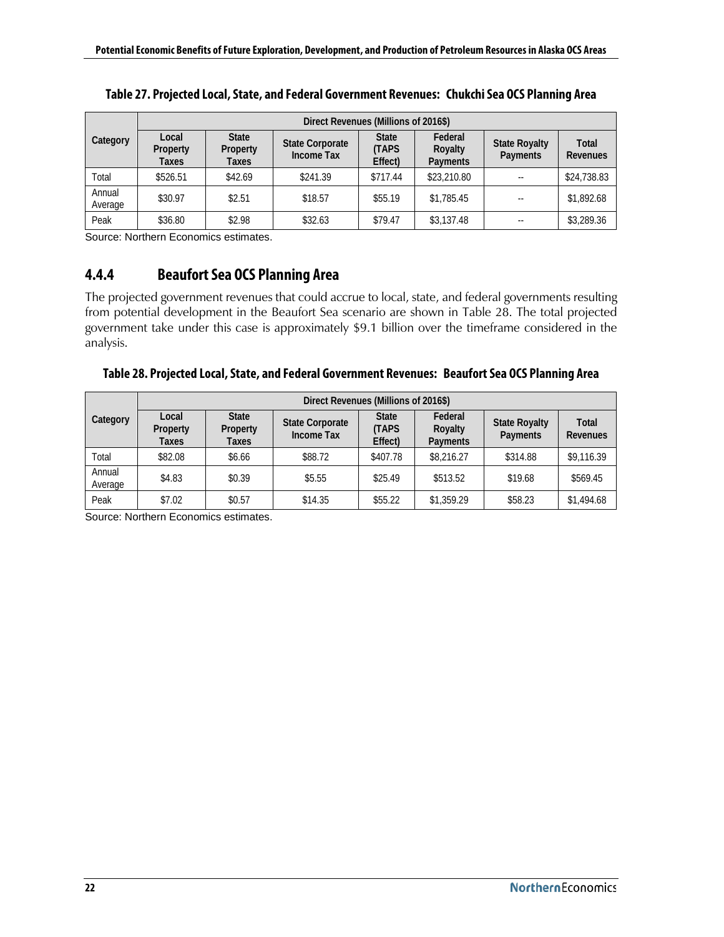|                   | Direct Revenues (Millions of 2016\$) |                                   |                                             |                                        |                                |                                  |                          |  |
|-------------------|--------------------------------------|-----------------------------------|---------------------------------------------|----------------------------------------|--------------------------------|----------------------------------|--------------------------|--|
| Category          | Local<br>Property<br>Taxes           | <b>State</b><br>Property<br>Taxes | <b>State Corporate</b><br><b>Income Tax</b> | <b>State</b><br><b>TAPS</b><br>Effect) | Federal<br>Royalty<br>Payments | <b>State Royalty</b><br>Payments | <b>Total</b><br>Revenues |  |
| Total             | \$526.51                             | \$42.69                           | \$241.39                                    | \$717.44                               | \$23,210.80                    | $\frac{1}{2}$                    | \$24,738.83              |  |
| Annual<br>Average | \$30.97                              | \$2.51                            | \$18.57                                     | \$55.19                                | \$1,785.45                     | $\sim$                           | \$1,892.68               |  |
| Peak              | \$36.80                              | \$2.98                            | \$32.63                                     | \$79.47                                | \$3,137.48                     | --                               | \$3,289.36               |  |

<span id="page-31-1"></span>**Table 27. Projected Local, State, and Federal Government Revenues: Chukchi Sea OCS Planning Area**

<span id="page-31-0"></span>Source: Northern Economics estimates.

### **4.4.4 Beaufort Sea OCS Planning Area**

The projected government revenues that could accrue to local, state, and federal governments resulting from potential development in the Beaufort Sea scenario are shown in [Table 28.](#page-31-2) The total projected government take under this case is approximately \$9.1 billion over the timeframe considered in the analysis.

<span id="page-31-2"></span>

| Table 28. Projected Local, State, and Federal Government Revenues: Beaufort Sea OCS Planning Area |  |
|---------------------------------------------------------------------------------------------------|--|
|---------------------------------------------------------------------------------------------------|--|

|                   | Direct Revenues (Millions of 2016\$) |                                   |                                      |                                         |                                |                                  |                   |  |
|-------------------|--------------------------------------|-----------------------------------|--------------------------------------|-----------------------------------------|--------------------------------|----------------------------------|-------------------|--|
| Category          | Local<br>Property<br>Taxes           | <b>State</b><br>Property<br>Taxes | <b>State Corporate</b><br>Income Tax | <b>State</b><br><b>(TAPS</b><br>Effect) | Federal<br>Royalty<br>Payments | <b>State Royalty</b><br>Payments | Total<br>Revenues |  |
| Total             | \$82.08                              | \$6.66                            | \$88.72                              | \$407.78                                | \$8,216.27                     | \$314.88                         | \$9,116.39        |  |
| Annual<br>Average | \$4.83                               | \$0.39                            | \$5.55                               | \$25.49                                 | \$513.52                       | \$19.68                          | \$569.45          |  |
| Peak              | \$7.02                               | \$0.57                            | \$14.35                              | \$55.22                                 | \$1,359.29                     | \$58.23                          | \$1,494.68        |  |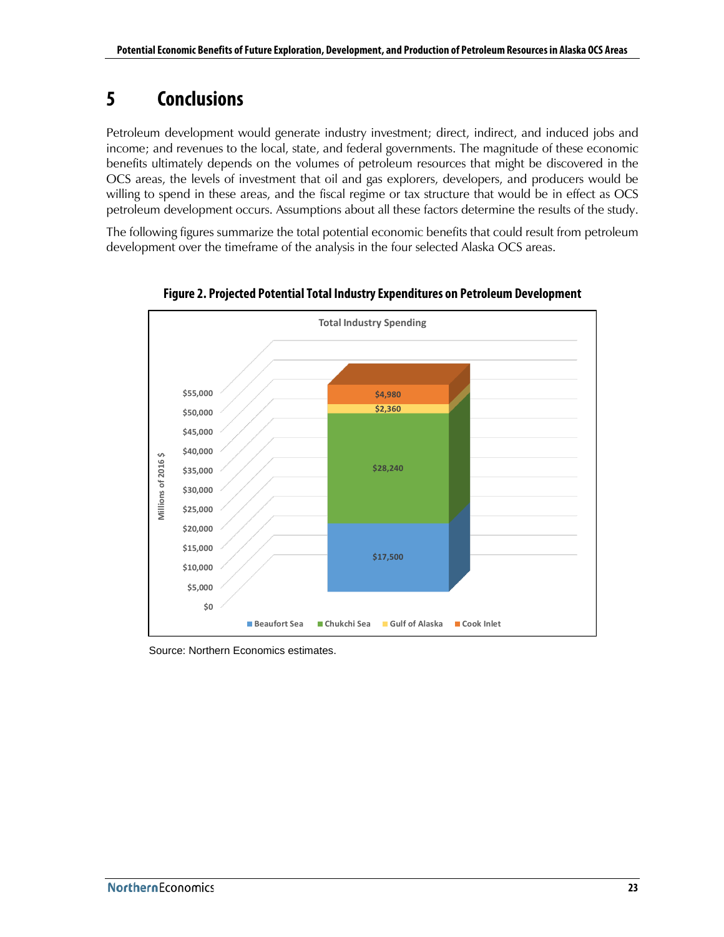## <span id="page-32-0"></span>**5 Conclusions**

Petroleum development would generate industry investment; direct, indirect, and induced jobs and income; and revenues to the local, state, and federal governments. The magnitude of these economic benefits ultimately depends on the volumes of petroleum resources that might be discovered in the OCS areas, the levels of investment that oil and gas explorers, developers, and producers would be willing to spend in these areas, and the fiscal regime or tax structure that would be in effect as OCS petroleum development occurs. Assumptions about all these factors determine the results of the study.

The following figures summarize the total potential economic benefits that could result from petroleum development over the timeframe of the analysis in the four selected Alaska OCS areas.

<span id="page-32-1"></span>

**Figure 2. Projected Potential Total Industry Expenditures on Petroleum Development**

Source: Northern Economics estimates.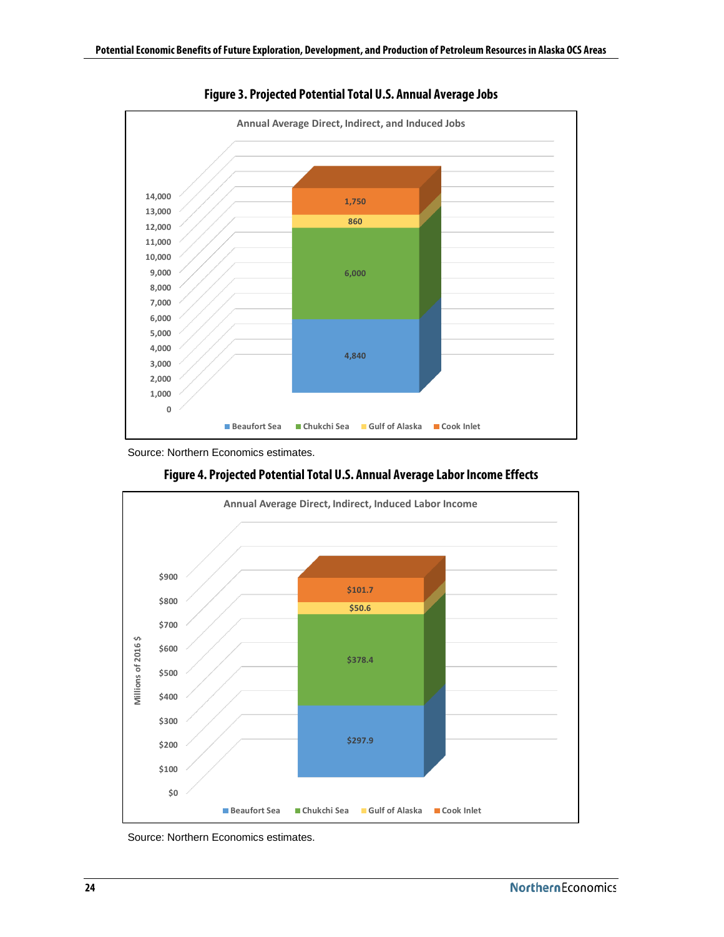<span id="page-33-0"></span>

**Figure 3. Projected Potential Total U.S. Annual Average Jobs**

<span id="page-33-1"></span>

**Figure 4. Projected Potential Total U.S. Annual Average Labor Income Effects**

Source: Northern Economics estimates.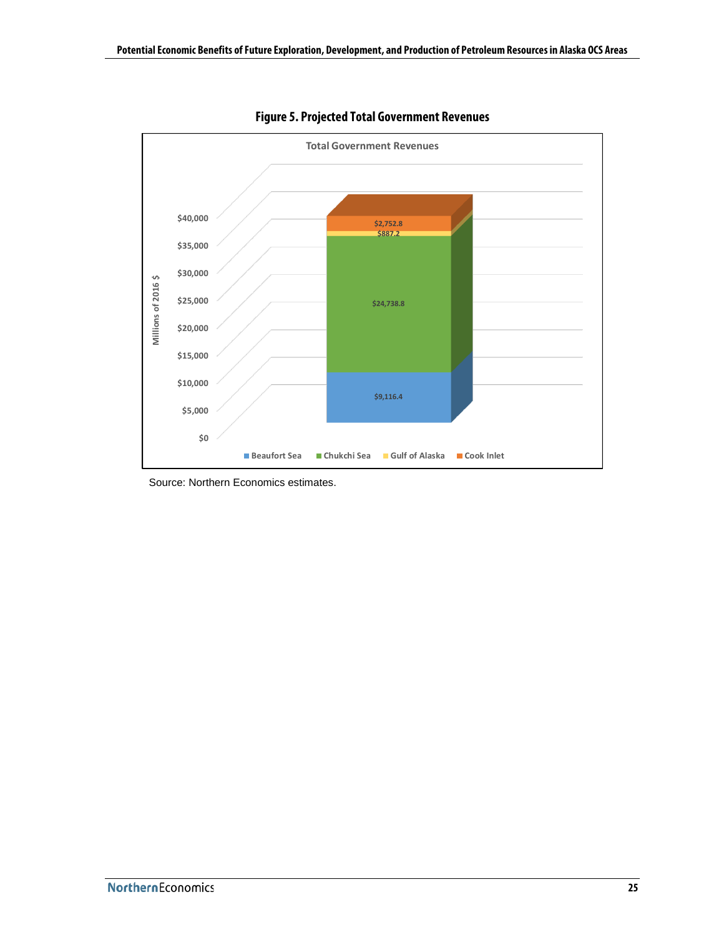<span id="page-34-0"></span>

**Figure 5. Projected Total Government Revenues**